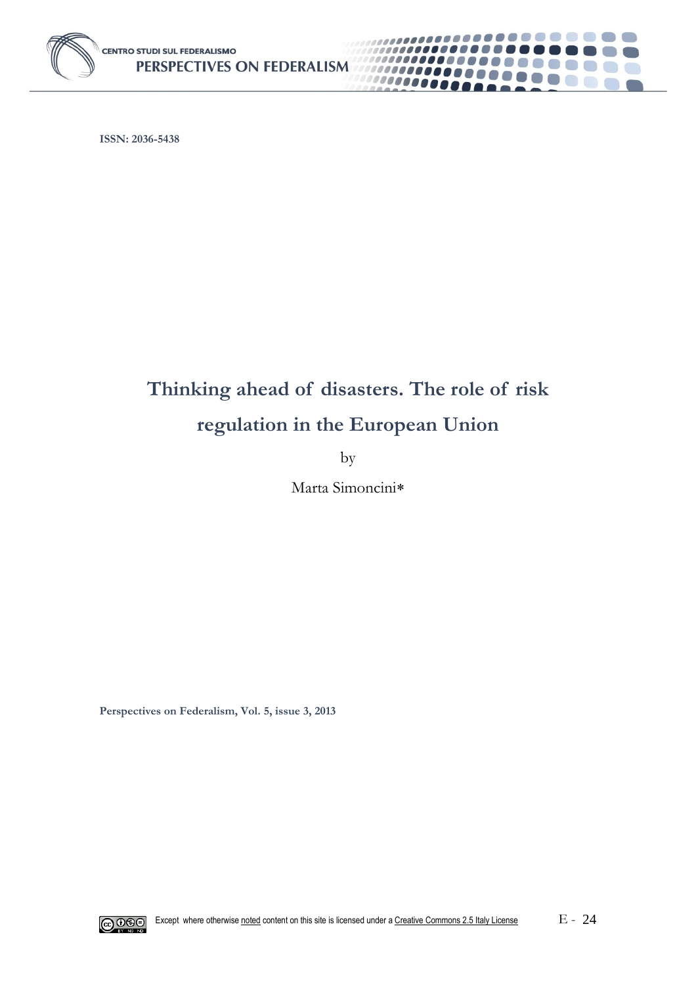

**ISSN: 2036-5438**

# **Thinking ahead of disasters. The role of risk regulation in the European Union**

. . . . . . **. .** .

an a

 $\mathbb{R}^n$ 6. 1 67 O

 $\left( \begin{array}{c} \end{array} \right)$ 

,,,,,,,,,,

1000000000

0000000

by

Marta Simoncini

**Perspectives on Federalism, Vol. 5, issue 3, 2013**

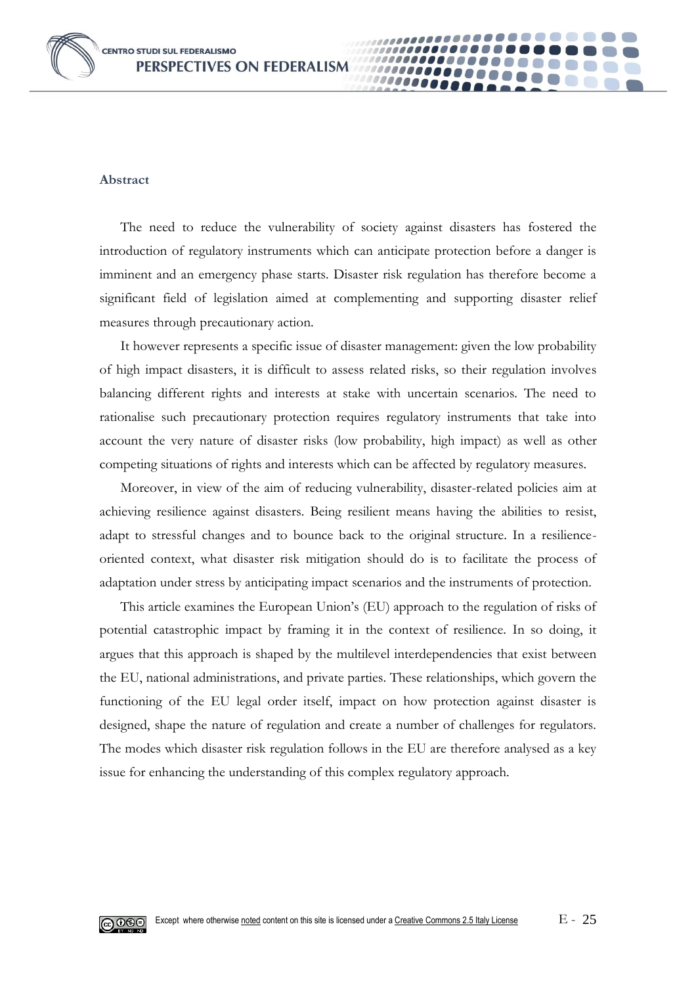

#### **Abstract**

The need to reduce the vulnerability of society against disasters has fostered the introduction of regulatory instruments which can anticipate protection before a danger is imminent and an emergency phase starts. Disaster risk regulation has therefore become a significant field of legislation aimed at complementing and supporting disaster relief measures through precautionary action.

0000

It however represents a specific issue of disaster management: given the low probability of high impact disasters, it is difficult to assess related risks, so their regulation involves balancing different rights and interests at stake with uncertain scenarios. The need to rationalise such precautionary protection requires regulatory instruments that take into account the very nature of disaster risks (low probability, high impact) as well as other competing situations of rights and interests which can be affected by regulatory measures.

Moreover, in view of the aim of reducing vulnerability, disaster-related policies aim at achieving resilience against disasters. Being resilient means having the abilities to resist, adapt to stressful changes and to bounce back to the original structure. In a resilienceoriented context, what disaster risk mitigation should do is to facilitate the process of adaptation under stress by anticipating impact scenarios and the instruments of protection.

This article examines the European Union's (EU) approach to the regulation of risks of potential catastrophic impact by framing it in the context of resilience. In so doing, it argues that this approach is shaped by the multilevel interdependencies that exist between the EU, national administrations, and private parties. These relationships, which govern the functioning of the EU legal order itself, impact on how protection against disaster is designed, shape the nature of regulation and create a number of challenges for regulators. The modes which disaster risk regulation follows in the EU are therefore analysed as a key issue for enhancing the understanding of this complex regulatory approach.

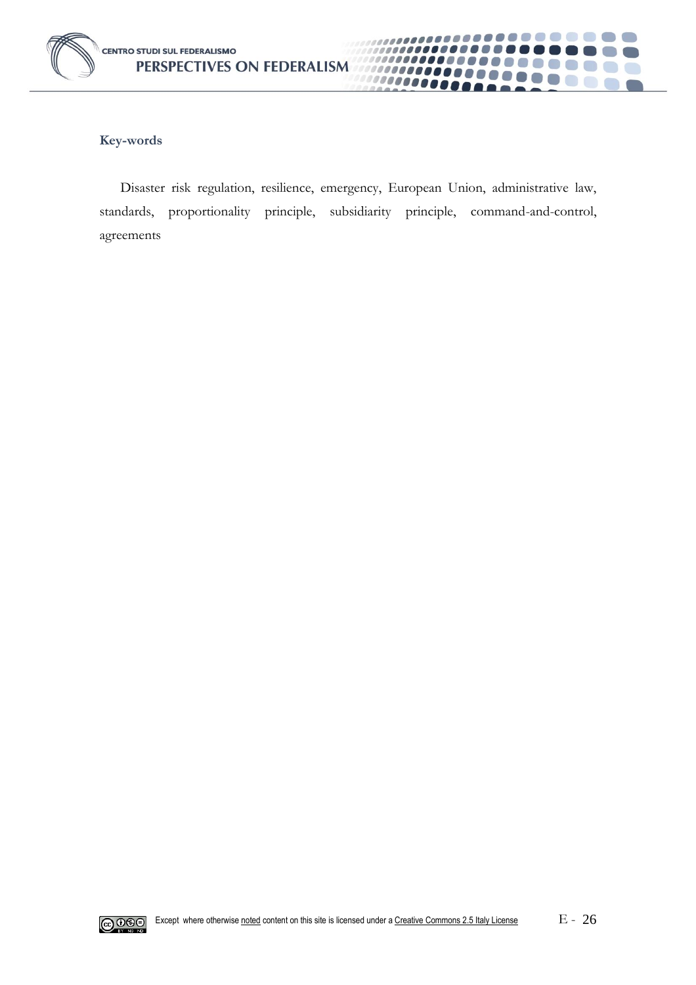

#### **Key-words**

Disaster risk regulation, resilience, emergency, European Union, administrative law, standards, proportionality principle, subsidiarity principle, command-and-control, agreements

.......

00000001

100000000

...........

**COLLEGE** 

**CON** 

................

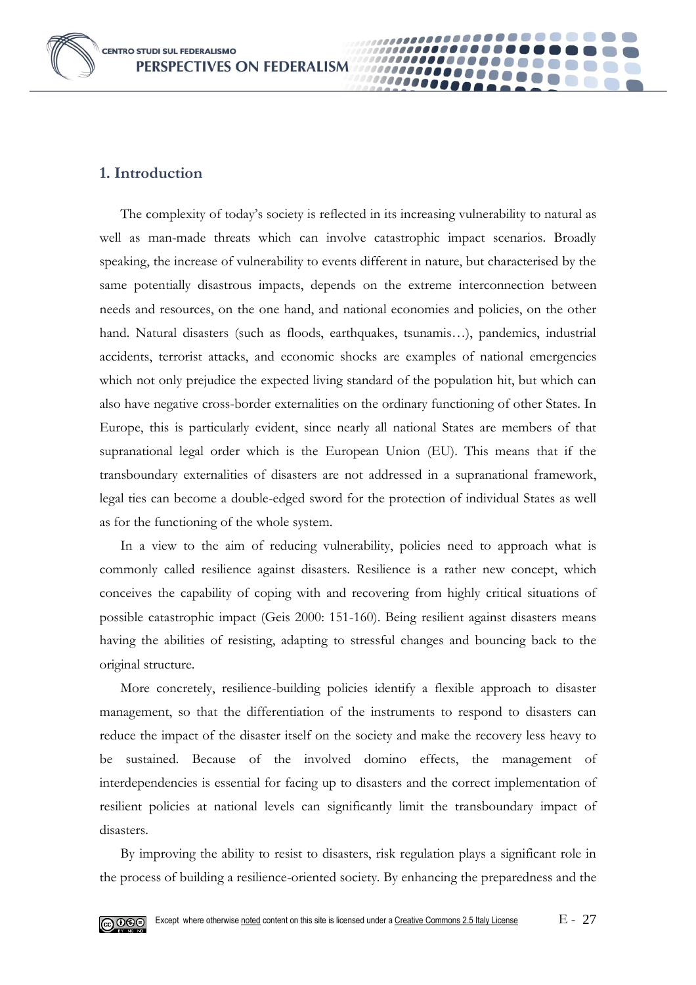**CENTRO STUDI SUL FEDERALISMO** PERSPECTIVES ON FEDERALISM

## **1. Introduction**

The complexity of today's society is reflected in its increasing vulnerability to natural as well as man-made threats which can involve catastrophic impact scenarios. Broadly speaking, the increase of vulnerability to events different in nature, but characterised by the same potentially disastrous impacts, depends on the extreme interconnection between needs and resources, on the one hand, and national economies and policies, on the other hand. Natural disasters (such as floods, earthquakes, tsunamis…), pandemics, industrial accidents, terrorist attacks, and economic shocks are examples of national emergencies which not only prejudice the expected living standard of the population hit, but which can also have negative cross-border externalities on the ordinary functioning of other States. In Europe, this is particularly evident, since nearly all national States are members of that supranational legal order which is the European Union (EU). This means that if the transboundary externalities of disasters are not addressed in a supranational framework, legal ties can become a double-edged sword for the protection of individual States as well as for the functioning of the whole system.

00000

In a view to the aim of reducing vulnerability, policies need to approach what is commonly called resilience against disasters. Resilience is a rather new concept, which conceives the capability of coping with and recovering from highly critical situations of possible catastrophic impact (Geis 2000: 151-160). Being resilient against disasters means having the abilities of resisting, adapting to stressful changes and bouncing back to the original structure.

More concretely, resilience-building policies identify a flexible approach to disaster management, so that the differentiation of the instruments to respond to disasters can reduce the impact of the disaster itself on the society and make the recovery less heavy to be sustained. Because of the involved domino effects, the management of interdependencies is essential for facing up to disasters and the correct implementation of resilient policies at national levels can significantly limit the transboundary impact of disasters.

By improving the ability to resist to disasters, risk regulation plays a significant role in the process of building a resilience-oriented society. By enhancing the preparedness and the

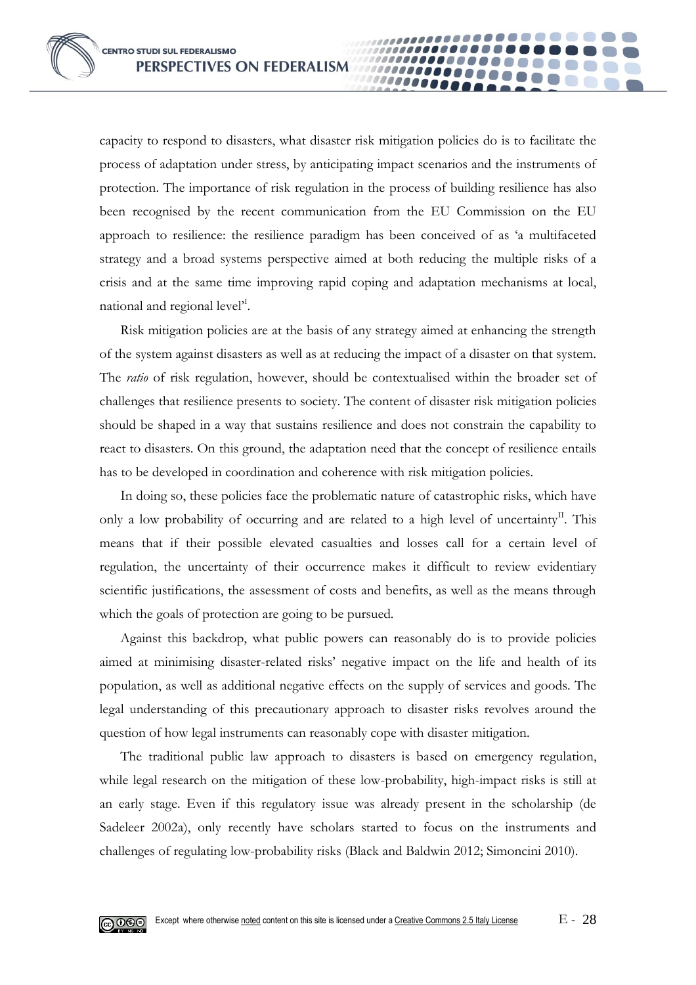capacity to respond to disasters, what disaster risk mitigation policies do is to facilitate the process of adaptation under stress, by anticipating impact scenarios and the instruments of protection. The importance of risk regulation in the process of building resilience has also been recognised by the recent communication from the EU Commission on the EU approach to resilience: the resilience paradigm has been conceived of as 'a multifaceted strategy and a broad systems perspective aimed at both reducing the multiple risks of a crisis and at the same time improving rapid coping and adaptation mechanisms at local, national and regional level<sup>'I</sup>.

0000

Risk mitigation policies are at the basis of any strategy aimed at enhancing the strength of the system against disasters as well as at reducing the impact of a disaster on that system. The *ratio* of risk regulation, however, should be contextualised within the broader set of challenges that resilience presents to society. The content of disaster risk mitigation policies should be shaped in a way that sustains resilience and does not constrain the capability to react to disasters. On this ground, the adaptation need that the concept of resilience entails has to be developed in coordination and coherence with risk mitigation policies.

In doing so, these policies face the problematic nature of catastrophic risks, which have only a low probability of occurring and are related to a high level of uncertainty<sup>II</sup>. This means that if their possible elevated casualties and losses call for a certain level of regulation, the uncertainty of their occurrence makes it difficult to review evidentiary scientific justifications, the assessment of costs and benefits, as well as the means through which the goals of protection are going to be pursued.

Against this backdrop, what public powers can reasonably do is to provide policies aimed at minimising disaster-related risks' negative impact on the life and health of its population, as well as additional negative effects on the supply of services and goods. The legal understanding of this precautionary approach to disaster risks revolves around the question of how legal instruments can reasonably cope with disaster mitigation.

The traditional public law approach to disasters is based on emergency regulation, while legal research on the mitigation of these low-probability, high-impact risks is still at an early stage. Even if this regulatory issue was already present in the scholarship (de Sadeleer 2002a), only recently have scholars started to focus on the instruments and challenges of regulating low-probability risks (Black and Baldwin 2012; Simoncini 2010).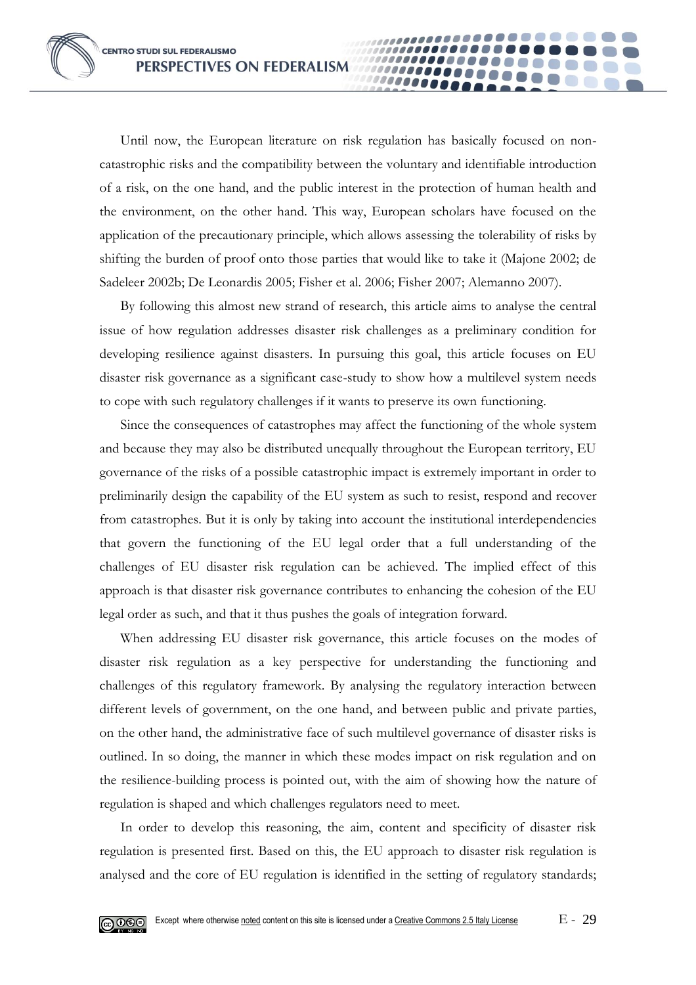Until now, the European literature on risk regulation has basically focused on noncatastrophic risks and the compatibility between the voluntary and identifiable introduction of a risk, on the one hand, and the public interest in the protection of human health and the environment, on the other hand. This way, European scholars have focused on the application of the precautionary principle, which allows assessing the tolerability of risks by shifting the burden of proof onto those parties that would like to take it (Majone 2002; de Sadeleer 2002b; De Leonardis 2005; Fisher et al. 2006; Fisher 2007; Alemanno 2007).

10000

By following this almost new strand of research, this article aims to analyse the central issue of how regulation addresses disaster risk challenges as a preliminary condition for developing resilience against disasters. In pursuing this goal, this article focuses on EU disaster risk governance as a significant case-study to show how a multilevel system needs to cope with such regulatory challenges if it wants to preserve its own functioning.

Since the consequences of catastrophes may affect the functioning of the whole system and because they may also be distributed unequally throughout the European territory, EU governance of the risks of a possible catastrophic impact is extremely important in order to preliminarily design the capability of the EU system as such to resist, respond and recover from catastrophes. But it is only by taking into account the institutional interdependencies that govern the functioning of the EU legal order that a full understanding of the challenges of EU disaster risk regulation can be achieved. The implied effect of this approach is that disaster risk governance contributes to enhancing the cohesion of the EU legal order as such, and that it thus pushes the goals of integration forward.

When addressing EU disaster risk governance, this article focuses on the modes of disaster risk regulation as a key perspective for understanding the functioning and challenges of this regulatory framework. By analysing the regulatory interaction between different levels of government, on the one hand, and between public and private parties, on the other hand, the administrative face of such multilevel governance of disaster risks is outlined. In so doing, the manner in which these modes impact on risk regulation and on the resilience-building process is pointed out, with the aim of showing how the nature of regulation is shaped and which challenges regulators need to meet.

In order to develop this reasoning, the aim, content and specificity of disaster risk regulation is presented first. Based on this, the EU approach to disaster risk regulation is analysed and the core of EU regulation is identified in the setting of regulatory standards;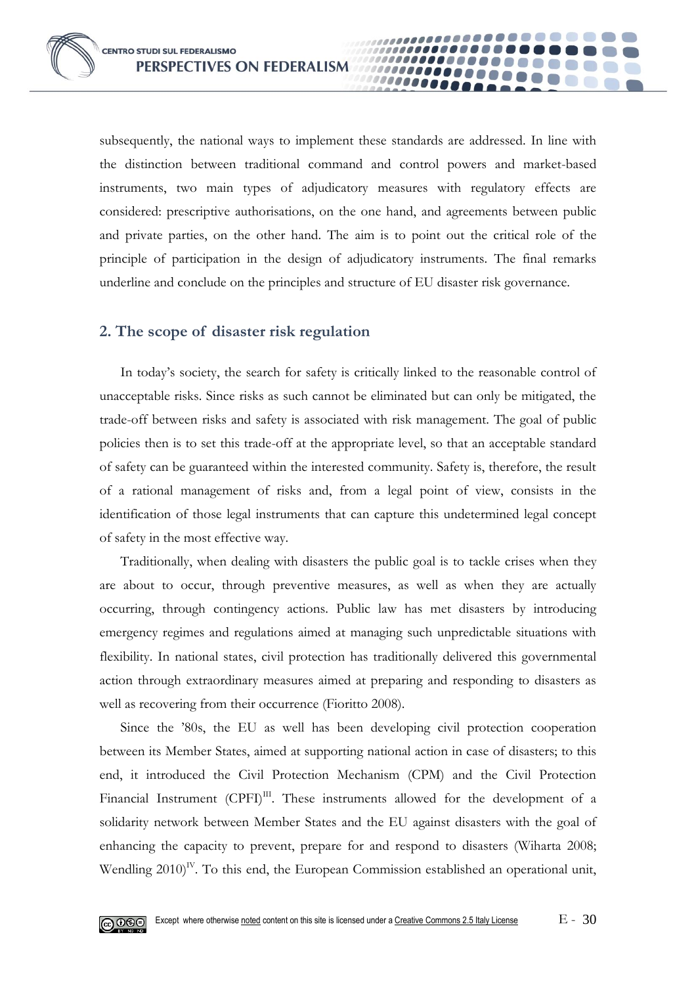subsequently, the national ways to implement these standards are addressed. In line with the distinction between traditional command and control powers and market-based instruments, two main types of adjudicatory measures with regulatory effects are considered: prescriptive authorisations, on the one hand, and agreements between public and private parties, on the other hand. The aim is to point out the critical role of the principle of participation in the design of adjudicatory instruments. The final remarks underline and conclude on the principles and structure of EU disaster risk governance.

00000

#### **2. The scope of disaster risk regulation**

In today's society, the search for safety is critically linked to the reasonable control of unacceptable risks. Since risks as such cannot be eliminated but can only be mitigated, the trade-off between risks and safety is associated with risk management. The goal of public policies then is to set this trade-off at the appropriate level, so that an acceptable standard of safety can be guaranteed within the interested community. Safety is, therefore, the result of a rational management of risks and, from a legal point of view, consists in the identification of those legal instruments that can capture this undetermined legal concept of safety in the most effective way.

Traditionally, when dealing with disasters the public goal is to tackle crises when they are about to occur, through preventive measures, as well as when they are actually occurring, through contingency actions. Public law has met disasters by introducing emergency regimes and regulations aimed at managing such unpredictable situations with flexibility. In national states, civil protection has traditionally delivered this governmental action through extraordinary measures aimed at preparing and responding to disasters as well as recovering from their occurrence (Fioritto 2008).

Since the '80s, the EU as well has been developing civil protection cooperation between its Member States, aimed at supporting national action in case of disasters; to this end, it introduced the Civil Protection Mechanism (CPM) and the Civil Protection Financial Instrument  $(CPFI)^{III}$ . These instruments allowed for the development of a solidarity network between Member States and the EU against disasters with the goal of enhancing the capacity to prevent, prepare for and respond to disasters (Wiharta 2008; Wendling  $2010$ <sup>IV</sup>. To this end, the European Commission established an operational unit,

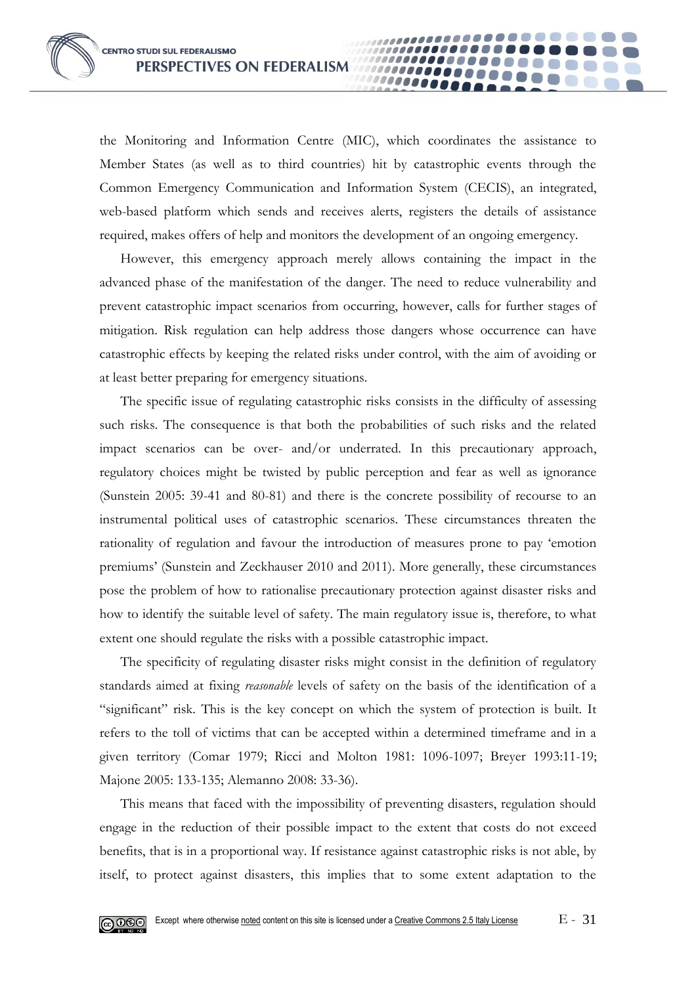the Monitoring and Information Centre (MIC), which coordinates the assistance to Member States (as well as to third countries) hit by catastrophic events through the Common Emergency Communication and Information System (CECIS), an integrated, web-based platform which sends and receives alerts, registers the details of assistance required, makes offers of help and monitors the development of an ongoing emergency.

100000001 10000

However, this emergency approach merely allows containing the impact in the advanced phase of the manifestation of the danger. The need to reduce vulnerability and prevent catastrophic impact scenarios from occurring, however, calls for further stages of mitigation. Risk regulation can help address those dangers whose occurrence can have catastrophic effects by keeping the related risks under control, with the aim of avoiding or at least better preparing for emergency situations.

The specific issue of regulating catastrophic risks consists in the difficulty of assessing such risks. The consequence is that both the probabilities of such risks and the related impact scenarios can be over- and/or underrated. In this precautionary approach, regulatory choices might be twisted by public perception and fear as well as ignorance (Sunstein 2005: 39-41 and 80-81) and there is the concrete possibility of recourse to an instrumental political uses of catastrophic scenarios. These circumstances threaten the rationality of regulation and favour the introduction of measures prone to pay 'emotion premiums' (Sunstein and Zeckhauser 2010 and 2011). More generally, these circumstances pose the problem of how to rationalise precautionary protection against disaster risks and how to identify the suitable level of safety. The main regulatory issue is, therefore, to what extent one should regulate the risks with a possible catastrophic impact.

The specificity of regulating disaster risks might consist in the definition of regulatory standards aimed at fixing *reasonable* levels of safety on the basis of the identification of a "significant" risk. This is the key concept on which the system of protection is built. It refers to the toll of victims that can be accepted within a determined timeframe and in a given territory (Comar 1979; Ricci and Molton 1981: 1096-1097; Breyer 1993:11-19; Majone 2005: 133-135; Alemanno 2008: 33-36).

This means that faced with the impossibility of preventing disasters, regulation should engage in the reduction of their possible impact to the extent that costs do not exceed benefits, that is in a proportional way. If resistance against catastrophic risks is not able, by itself, to protect against disasters, this implies that to some extent adaptation to the

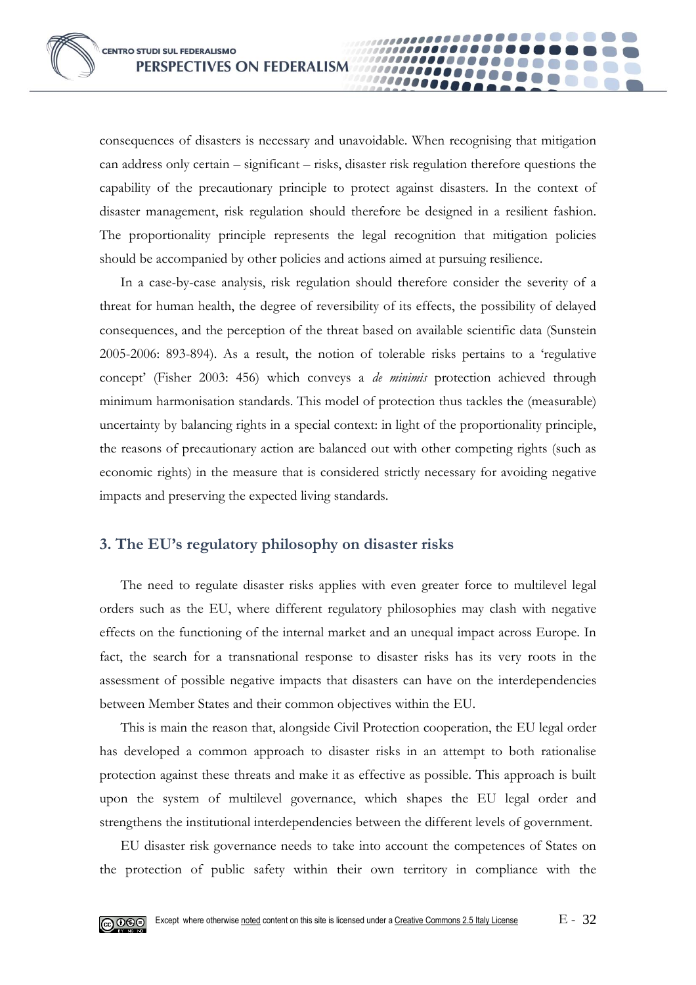consequences of disasters is necessary and unavoidable. When recognising that mitigation can address only certain – significant – risks, disaster risk regulation therefore questions the capability of the precautionary principle to protect against disasters. In the context of disaster management, risk regulation should therefore be designed in a resilient fashion. The proportionality principle represents the legal recognition that mitigation policies should be accompanied by other policies and actions aimed at pursuing resilience.

10000

In a case-by-case analysis, risk regulation should therefore consider the severity of a threat for human health, the degree of reversibility of its effects, the possibility of delayed consequences, and the perception of the threat based on available scientific data (Sunstein 2005-2006: 893-894). As a result, the notion of tolerable risks pertains to a 'regulative concept' (Fisher 2003: 456) which conveys a *de minimis* protection achieved through minimum harmonisation standards. This model of protection thus tackles the (measurable) uncertainty by balancing rights in a special context: in light of the proportionality principle, the reasons of precautionary action are balanced out with other competing rights (such as economic rights) in the measure that is considered strictly necessary for avoiding negative impacts and preserving the expected living standards.

## **3. The EU's regulatory philosophy on disaster risks**

The need to regulate disaster risks applies with even greater force to multilevel legal orders such as the EU, where different regulatory philosophies may clash with negative effects on the functioning of the internal market and an unequal impact across Europe. In fact, the search for a transnational response to disaster risks has its very roots in the assessment of possible negative impacts that disasters can have on the interdependencies between Member States and their common objectives within the EU.

This is main the reason that, alongside Civil Protection cooperation, the EU legal order has developed a common approach to disaster risks in an attempt to both rationalise protection against these threats and make it as effective as possible. This approach is built upon the system of multilevel governance, which shapes the EU legal order and strengthens the institutional interdependencies between the different levels of government.

EU disaster risk governance needs to take into account the competences of States on the protection of public safety within their own territory in compliance with the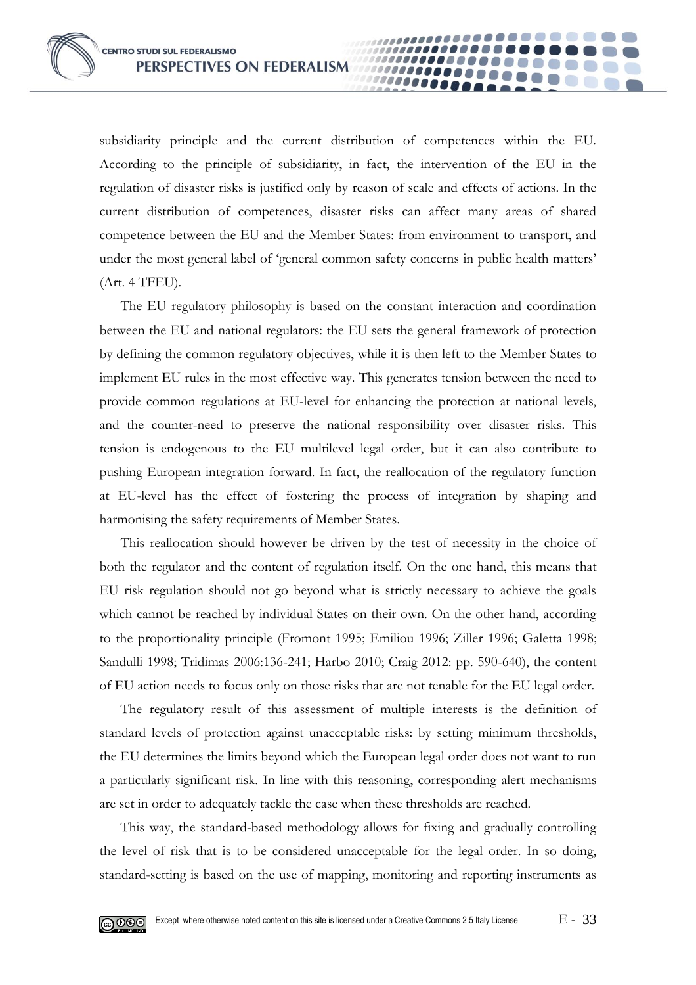subsidiarity principle and the current distribution of competences within the EU. According to the principle of subsidiarity, in fact, the intervention of the EU in the regulation of disaster risks is justified only by reason of scale and effects of actions. In the current distribution of competences, disaster risks can affect many areas of shared competence between the EU and the Member States: from environment to transport, and under the most general label of 'general common safety concerns in public health matters' (Art. 4 TFEU).

00000

The EU regulatory philosophy is based on the constant interaction and coordination between the EU and national regulators: the EU sets the general framework of protection by defining the common regulatory objectives, while it is then left to the Member States to implement EU rules in the most effective way. This generates tension between the need to provide common regulations at EU-level for enhancing the protection at national levels, and the counter-need to preserve the national responsibility over disaster risks. This tension is endogenous to the EU multilevel legal order, but it can also contribute to pushing European integration forward. In fact, the reallocation of the regulatory function at EU-level has the effect of fostering the process of integration by shaping and harmonising the safety requirements of Member States.

This reallocation should however be driven by the test of necessity in the choice of both the regulator and the content of regulation itself. On the one hand, this means that EU risk regulation should not go beyond what is strictly necessary to achieve the goals which cannot be reached by individual States on their own. On the other hand, according to the proportionality principle (Fromont 1995; Emiliou 1996; Ziller 1996; Galetta 1998; Sandulli 1998; Tridimas 2006:136-241; Harbo 2010; Craig 2012: pp. 590-640), the content of EU action needs to focus only on those risks that are not tenable for the EU legal order.

The regulatory result of this assessment of multiple interests is the definition of standard levels of protection against unacceptable risks: by setting minimum thresholds, the EU determines the limits beyond which the European legal order does not want to run a particularly significant risk. In line with this reasoning, corresponding alert mechanisms are set in order to adequately tackle the case when these thresholds are reached.

This way, the standard-based methodology allows for fixing and gradually controlling the level of risk that is to be considered unacceptable for the legal order. In so doing, standard-setting is based on the use of mapping, monitoring and reporting instruments as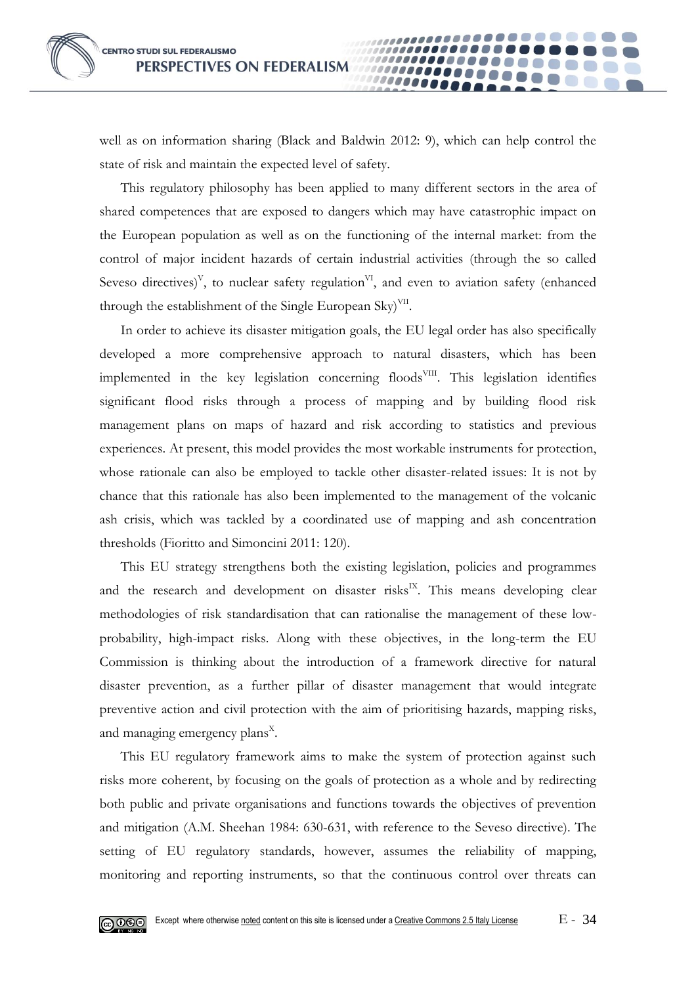well as on information sharing (Black and Baldwin 2012: 9), which can help control the state of risk and maintain the expected level of safety.

00000

This regulatory philosophy has been applied to many different sectors in the area of shared competences that are exposed to dangers which may have catastrophic impact on the European population as well as on the functioning of the internal market: from the control of major incident hazards of certain industrial activities (through the so called Seveso directives)<sup>V</sup>, to nuclear safety regulation<sup>VI</sup>, and even to aviation safety (enhanced through the establishment of the Single European Sky)<sup>VII</sup>.

In order to achieve its disaster mitigation goals, the EU legal order has also specifically developed a more comprehensive approach to natural disasters, which has been implemented in the key legislation concerning floods<sup>VIII</sup>. This legislation identifies significant flood risks through a process of mapping and by building flood risk management plans on maps of hazard and risk according to statistics and previous experiences. At present, this model provides the most workable instruments for protection, whose rationale can also be employed to tackle other disaster-related issues: It is not by chance that this rationale has also been implemented to the management of the volcanic ash crisis, which was tackled by a coordinated use of mapping and ash concentration thresholds (Fioritto and Simoncini 2011: 120).

This EU strategy strengthens both the existing legislation, policies and programmes and the research and development on disaster risks<sup>IX</sup>. This means developing clear methodologies of risk standardisation that can rationalise the management of these lowprobability, high-impact risks. Along with these objectives, in the long-term the EU Commission is thinking about the introduction of a framework directive for natural disaster prevention, as a further pillar of disaster management that would integrate preventive action and civil protection with the aim of prioritising hazards, mapping risks, and managing emergency plans<sup>x</sup>.

This EU regulatory framework aims to make the system of protection against such risks more coherent, by focusing on the goals of protection as a whole and by redirecting both public and private organisations and functions towards the objectives of prevention and mitigation (A.M. Sheehan 1984: 630-631, with reference to the Seveso directive). The setting of EU regulatory standards, however, assumes the reliability of mapping, monitoring and reporting instruments, so that the continuous control over threats can

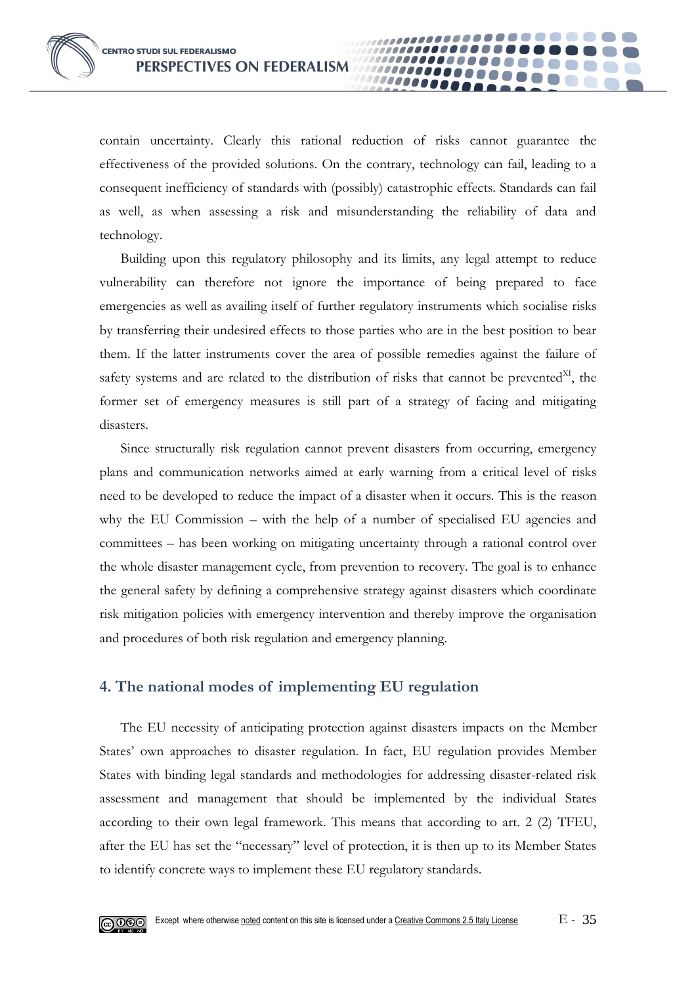contain uncertainty. Clearly this rational reduction of risks cannot guarantee the effectiveness of the provided solutions. On the contrary, technology can fail, leading to a consequent inefficiency of standards with (possibly) catastrophic effects. Standards can fail as well, as when assessing a risk and misunderstanding the reliability of data and technology.

00000

Building upon this regulatory philosophy and its limits, any legal attempt to reduce vulnerability can therefore not ignore the importance of being prepared to face emergencies as well as availing itself of further regulatory instruments which socialise risks by transferring their undesired effects to those parties who are in the best position to bear them. If the latter instruments cover the area of possible remedies against the failure of safety systems and are related to the distribution of risks that cannot be prevented $X<sup>I</sup>$ , the former set of emergency measures is still part of a strategy of facing and mitigating disasters.

Since structurally risk regulation cannot prevent disasters from occurring, emergency plans and communication networks aimed at early warning from a critical level of risks need to be developed to reduce the impact of a disaster when it occurs. This is the reason why the EU Commission – with the help of a number of specialised EU agencies and committees – has been working on mitigating uncertainty through a rational control over the whole disaster management cycle, from prevention to recovery. The goal is to enhance the general safety by defining a comprehensive strategy against disasters which coordinate risk mitigation policies with emergency intervention and thereby improve the organisation and procedures of both risk regulation and emergency planning.

## **4. The national modes of implementing EU regulation**

The EU necessity of anticipating protection against disasters impacts on the Member States' own approaches to disaster regulation. In fact, EU regulation provides Member States with binding legal standards and methodologies for addressing disaster-related risk assessment and management that should be implemented by the individual States according to their own legal framework. This means that according to art. 2 (2) TFEU, after the EU has set the "necessary" level of protection, it is then up to its Member States to identify concrete ways to implement these EU regulatory standards.

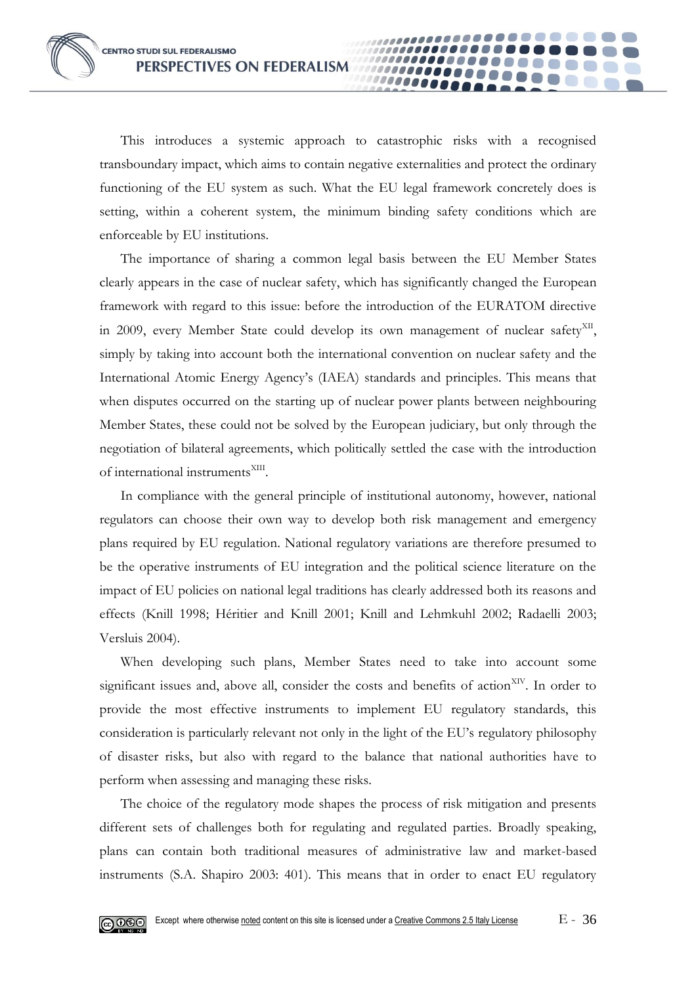This introduces a systemic approach to catastrophic risks with a recognised transboundary impact, which aims to contain negative externalities and protect the ordinary functioning of the EU system as such. What the EU legal framework concretely does is setting, within a coherent system, the minimum binding safety conditions which are enforceable by EU institutions.

00000

The importance of sharing a common legal basis between the EU Member States clearly appears in the case of nuclear safety, which has significantly changed the European framework with regard to this issue: before the introduction of the EURATOM directive in 2009, every Member State could develop its own management of nuclear safety<sup>XII</sup>, simply by taking into account both the international convention on nuclear safety and the International Atomic Energy Agency's (IAEA) standards and principles. This means that when disputes occurred on the starting up of nuclear power plants between neighbouring Member States, these could not be solved by the European judiciary, but only through the negotiation of bilateral agreements, which politically settled the case with the introduction of international instruments<sup>XIII</sup>.

In compliance with the general principle of institutional autonomy, however, national regulators can choose their own way to develop both risk management and emergency plans required by EU regulation. National regulatory variations are therefore presumed to be the operative instruments of EU integration and the political science literature on the impact of EU policies on national legal traditions has clearly addressed both its reasons and effects (Knill 1998; Héritier and Knill 2001; Knill and Lehmkuhl 2002; Radaelli 2003; Versluis 2004).

When developing such plans, Member States need to take into account some significant issues and, above all, consider the costs and benefits of action<sup>XIV</sup>. In order to provide the most effective instruments to implement EU regulatory standards, this consideration is particularly relevant not only in the light of the EU's regulatory philosophy of disaster risks, but also with regard to the balance that national authorities have to perform when assessing and managing these risks.

The choice of the regulatory mode shapes the process of risk mitigation and presents different sets of challenges both for regulating and regulated parties. Broadly speaking, plans can contain both traditional measures of administrative law and market-based instruments (S.A. Shapiro 2003: 401). This means that in order to enact EU regulatory

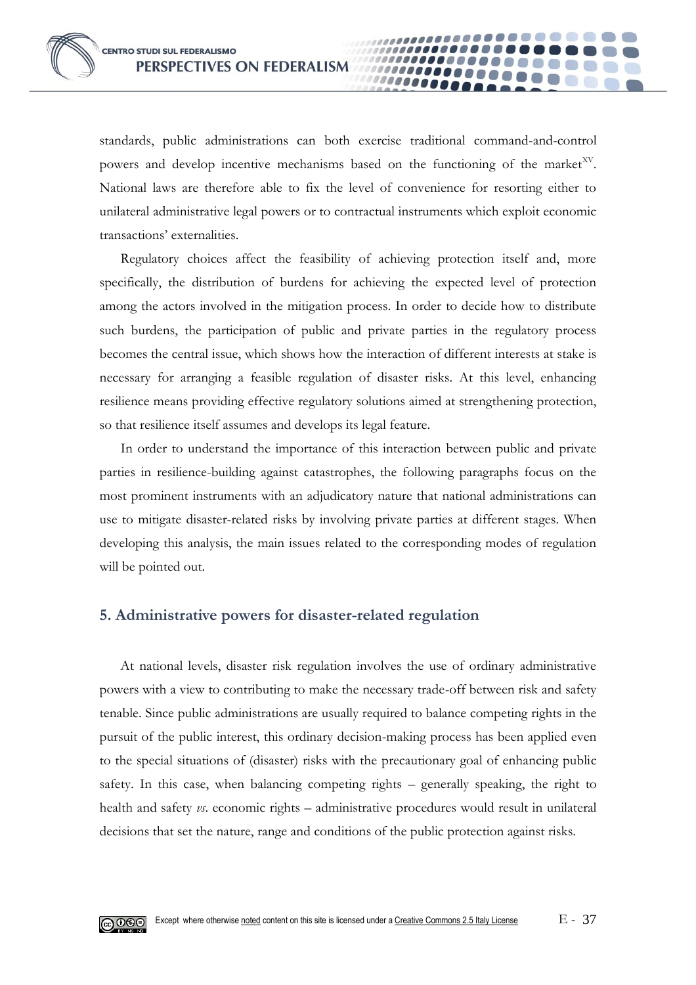standards, public administrations can both exercise traditional command-and-control powers and develop incentive mechanisms based on the functioning of the market<sup>XV</sup>. National laws are therefore able to fix the level of convenience for resorting either to unilateral administrative legal powers or to contractual instruments which exploit economic transactions' externalities.

**0000** 

Regulatory choices affect the feasibility of achieving protection itself and, more specifically, the distribution of burdens for achieving the expected level of protection among the actors involved in the mitigation process. In order to decide how to distribute such burdens, the participation of public and private parties in the regulatory process becomes the central issue, which shows how the interaction of different interests at stake is necessary for arranging a feasible regulation of disaster risks. At this level, enhancing resilience means providing effective regulatory solutions aimed at strengthening protection, so that resilience itself assumes and develops its legal feature.

In order to understand the importance of this interaction between public and private parties in resilience-building against catastrophes, the following paragraphs focus on the most prominent instruments with an adjudicatory nature that national administrations can use to mitigate disaster-related risks by involving private parties at different stages. When developing this analysis, the main issues related to the corresponding modes of regulation will be pointed out.

## **5. Administrative powers for disaster-related regulation**

At national levels, disaster risk regulation involves the use of ordinary administrative powers with a view to contributing to make the necessary trade-off between risk and safety tenable. Since public administrations are usually required to balance competing rights in the pursuit of the public interest, this ordinary decision-making process has been applied even to the special situations of (disaster) risks with the precautionary goal of enhancing public safety. In this case, when balancing competing rights – generally speaking, the right to health and safety *vs*. economic rights – administrative procedures would result in unilateral decisions that set the nature, range and conditions of the public protection against risks.

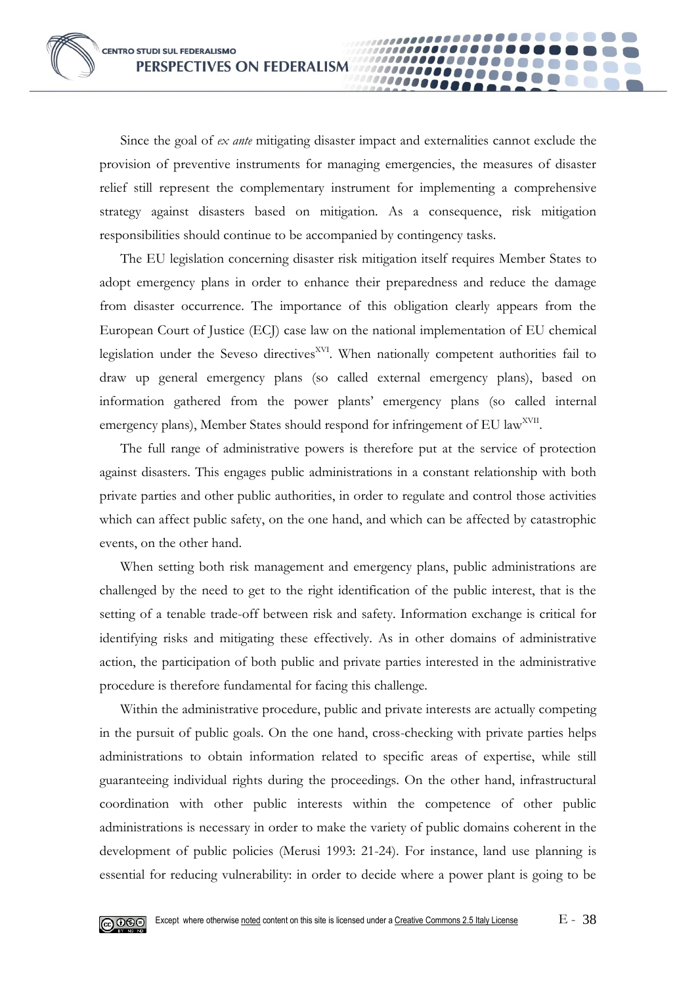Since the goal of *ex ante* mitigating disaster impact and externalities cannot exclude the provision of preventive instruments for managing emergencies, the measures of disaster relief still represent the complementary instrument for implementing a comprehensive strategy against disasters based on mitigation. As a consequence, risk mitigation responsibilities should continue to be accompanied by contingency tasks.

**10000** 

The EU legislation concerning disaster risk mitigation itself requires Member States to adopt emergency plans in order to enhance their preparedness and reduce the damage from disaster occurrence. The importance of this obligation clearly appears from the European Court of Justice (ECJ) case law on the national implementation of EU chemical legislation under the Seveso directives<sup>XVI</sup>. When nationally competent authorities fail to draw up general emergency plans (so called external emergency plans), based on information gathered from the power plants' emergency plans (so called internal emergency plans), Member States should respond for infringement of EU law<sup>XVII</sup>.

The full range of administrative powers is therefore put at the service of protection against disasters. This engages public administrations in a constant relationship with both private parties and other public authorities, in order to regulate and control those activities which can affect public safety, on the one hand, and which can be affected by catastrophic events, on the other hand.

When setting both risk management and emergency plans, public administrations are challenged by the need to get to the right identification of the public interest, that is the setting of a tenable trade-off between risk and safety. Information exchange is critical for identifying risks and mitigating these effectively. As in other domains of administrative action, the participation of both public and private parties interested in the administrative procedure is therefore fundamental for facing this challenge.

Within the administrative procedure, public and private interests are actually competing in the pursuit of public goals. On the one hand, cross-checking with private parties helps administrations to obtain information related to specific areas of expertise, while still guaranteeing individual rights during the proceedings. On the other hand, infrastructural coordination with other public interests within the competence of other public administrations is necessary in order to make the variety of public domains coherent in the development of public policies (Merusi 1993: 21-24). For instance, land use planning is essential for reducing vulnerability: in order to decide where a power plant is going to be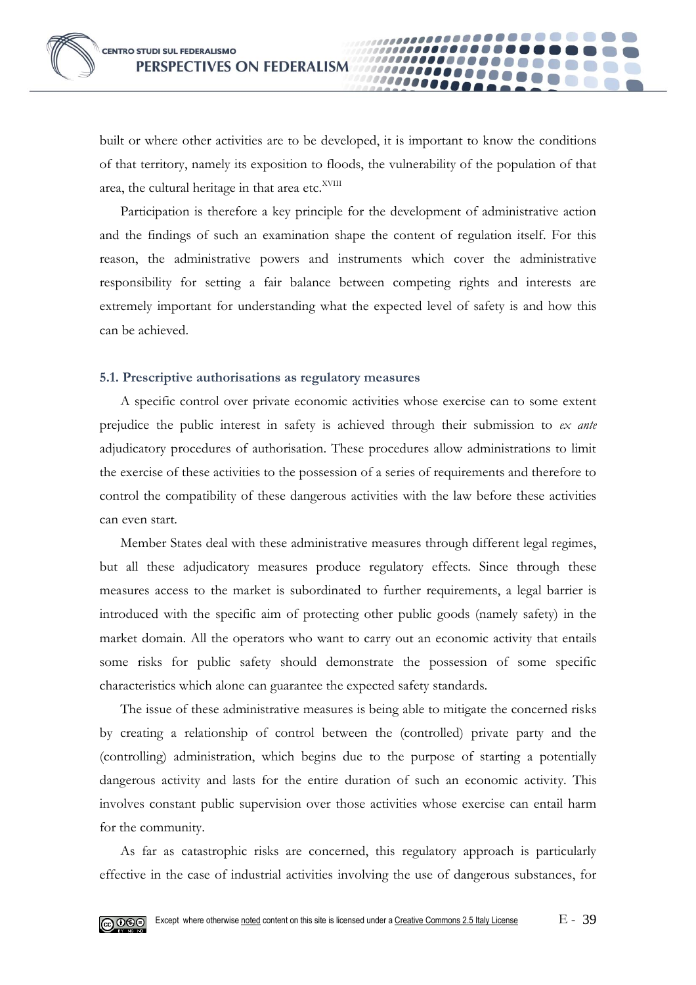built or where other activities are to be developed, it is important to know the conditions of that territory, namely its exposition to floods, the vulnerability of the population of that area, the cultural heritage in that area etc.<sup>XVIII</sup>

**10000** 

Participation is therefore a key principle for the development of administrative action and the findings of such an examination shape the content of regulation itself. For this reason, the administrative powers and instruments which cover the administrative responsibility for setting a fair balance between competing rights and interests are extremely important for understanding what the expected level of safety is and how this can be achieved.

#### **5.1. Prescriptive authorisations as regulatory measures**

A specific control over private economic activities whose exercise can to some extent prejudice the public interest in safety is achieved through their submission to *ex ante* adjudicatory procedures of authorisation. These procedures allow administrations to limit the exercise of these activities to the possession of a series of requirements and therefore to control the compatibility of these dangerous activities with the law before these activities can even start.

Member States deal with these administrative measures through different legal regimes, but all these adjudicatory measures produce regulatory effects. Since through these measures access to the market is subordinated to further requirements, a legal barrier is introduced with the specific aim of protecting other public goods (namely safety) in the market domain. All the operators who want to carry out an economic activity that entails some risks for public safety should demonstrate the possession of some specific characteristics which alone can guarantee the expected safety standards.

The issue of these administrative measures is being able to mitigate the concerned risks by creating a relationship of control between the (controlled) private party and the (controlling) administration, which begins due to the purpose of starting a potentially dangerous activity and lasts for the entire duration of such an economic activity. This involves constant public supervision over those activities whose exercise can entail harm for the community.

As far as catastrophic risks are concerned, this regulatory approach is particularly effective in the case of industrial activities involving the use of dangerous substances, for

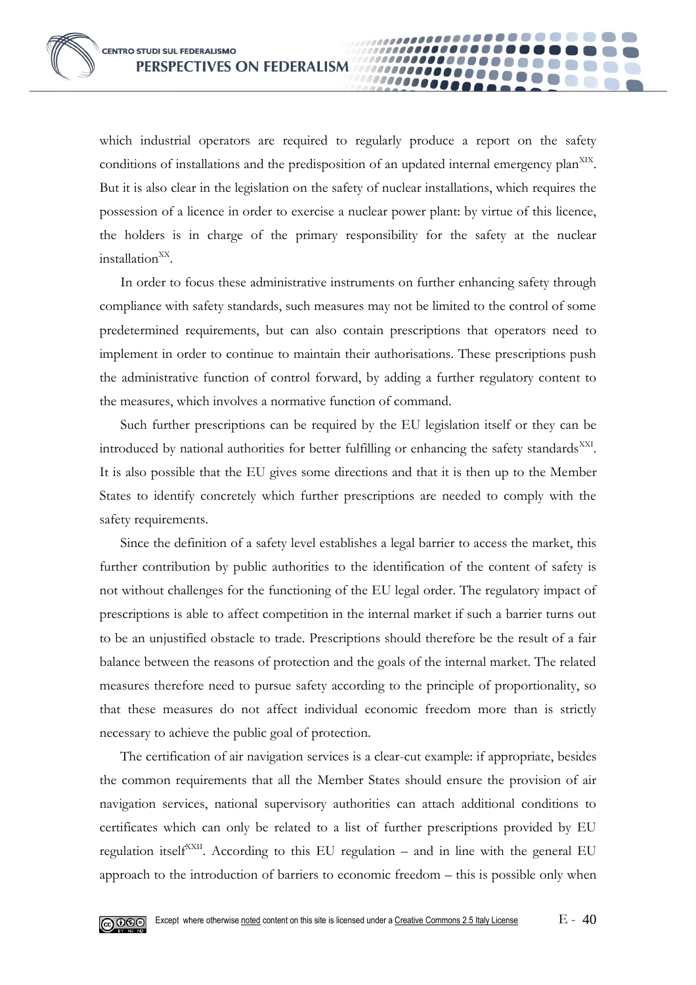which industrial operators are required to regularly produce a report on the safety conditions of installations and the predisposition of an updated internal emergency plan<sup>XIX</sup>. But it is also clear in the legislation on the safety of nuclear installations, which requires the possession of a licence in order to exercise a nuclear power plant: by virtue of this licence, the holders is in charge of the primary responsibility for the safety at the nuclear installation<sup>XX</sup>.

0000

In order to focus these administrative instruments on further enhancing safety through compliance with safety standards, such measures may not be limited to the control of some predetermined requirements, but can also contain prescriptions that operators need to implement in order to continue to maintain their authorisations. These prescriptions push the administrative function of control forward, by adding a further regulatory content to the measures, which involves a normative function of command.

Such further prescriptions can be required by the EU legislation itself or they can be introduced by national authorities for better fulfilling or enhancing the safety standards<sup>XXI</sup>. It is also possible that the EU gives some directions and that it is then up to the Member States to identify concretely which further prescriptions are needed to comply with the safety requirements.

Since the definition of a safety level establishes a legal barrier to access the market, this further contribution by public authorities to the identification of the content of safety is not without challenges for the functioning of the EU legal order. The regulatory impact of prescriptions is able to affect competition in the internal market if such a barrier turns out to be an unjustified obstacle to trade. Prescriptions should therefore be the result of a fair balance between the reasons of protection and the goals of the internal market. The related measures therefore need to pursue safety according to the principle of proportionality, so that these measures do not affect individual economic freedom more than is strictly necessary to achieve the public goal of protection.

The certification of air navigation services is a clear-cut example: if appropriate, besides the common requirements that all the Member States should ensure the provision of air navigation services, national supervisory authorities can attach additional conditions to certificates which can only be related to a list of further prescriptions provided by EU regulation itself<sup>XXII</sup>. According to this EU regulation – and in line with the general EU approach to the introduction of barriers to economic freedom – this is possible only when

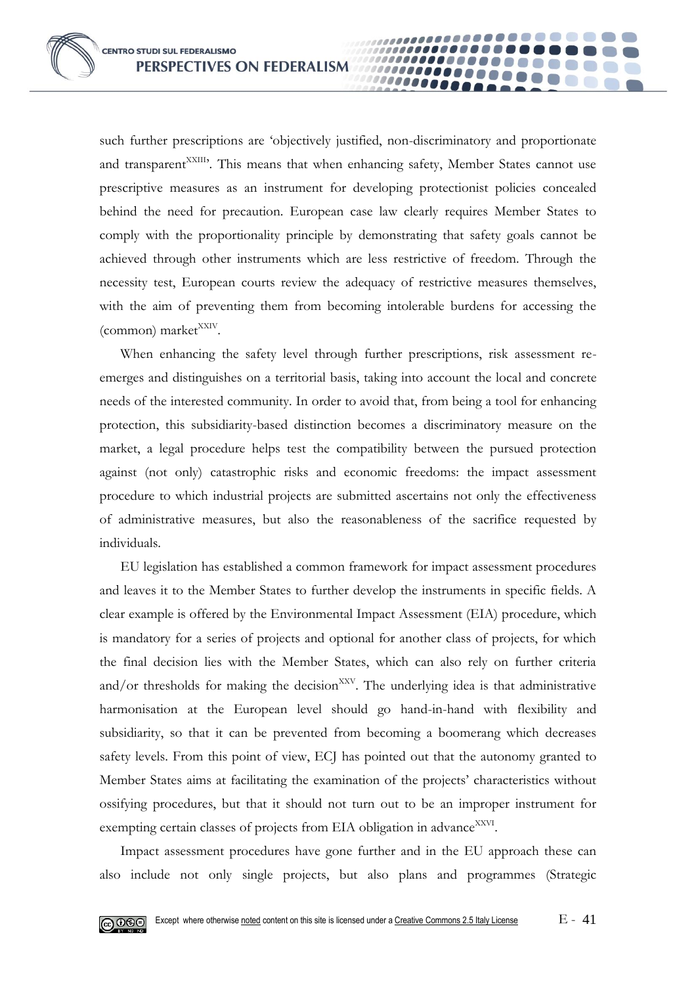such further prescriptions are 'objectively justified, non-discriminatory and proportionate and transparent<sup>XXIII</sup>. This means that when enhancing safety, Member States cannot use prescriptive measures as an instrument for developing protectionist policies concealed behind the need for precaution. European case law clearly requires Member States to comply with the proportionality principle by demonstrating that safety goals cannot be achieved through other instruments which are less restrictive of freedom. Through the necessity test, European courts review the adequacy of restrictive measures themselves, with the aim of preventing them from becoming intolerable burdens for accessing the (common) market<sup>XXIV</sup>.

00000

When enhancing the safety level through further prescriptions, risk assessment reemerges and distinguishes on a territorial basis, taking into account the local and concrete needs of the interested community. In order to avoid that, from being a tool for enhancing protection, this subsidiarity-based distinction becomes a discriminatory measure on the market, a legal procedure helps test the compatibility between the pursued protection against (not only) catastrophic risks and economic freedoms: the impact assessment procedure to which industrial projects are submitted ascertains not only the effectiveness of administrative measures, but also the reasonableness of the sacrifice requested by individuals.

EU legislation has established a common framework for impact assessment procedures and leaves it to the Member States to further develop the instruments in specific fields. A clear example is offered by the Environmental Impact Assessment (EIA) procedure, which is mandatory for a series of projects and optional for another class of projects, for which the final decision lies with the Member States, which can also rely on further criteria and/or thresholds for making the decision $XXY$ . The underlying idea is that administrative harmonisation at the European level should go hand-in-hand with flexibility and subsidiarity, so that it can be prevented from becoming a boomerang which decreases safety levels. From this point of view, ECJ has pointed out that the autonomy granted to Member States aims at facilitating the examination of the projects' characteristics without ossifying procedures, but that it should not turn out to be an improper instrument for exempting certain classes of projects from EIA obligation in advance<sup>XXVI</sup>.

Impact assessment procedures have gone further and in the EU approach these can also include not only single projects, but also plans and programmes (Strategic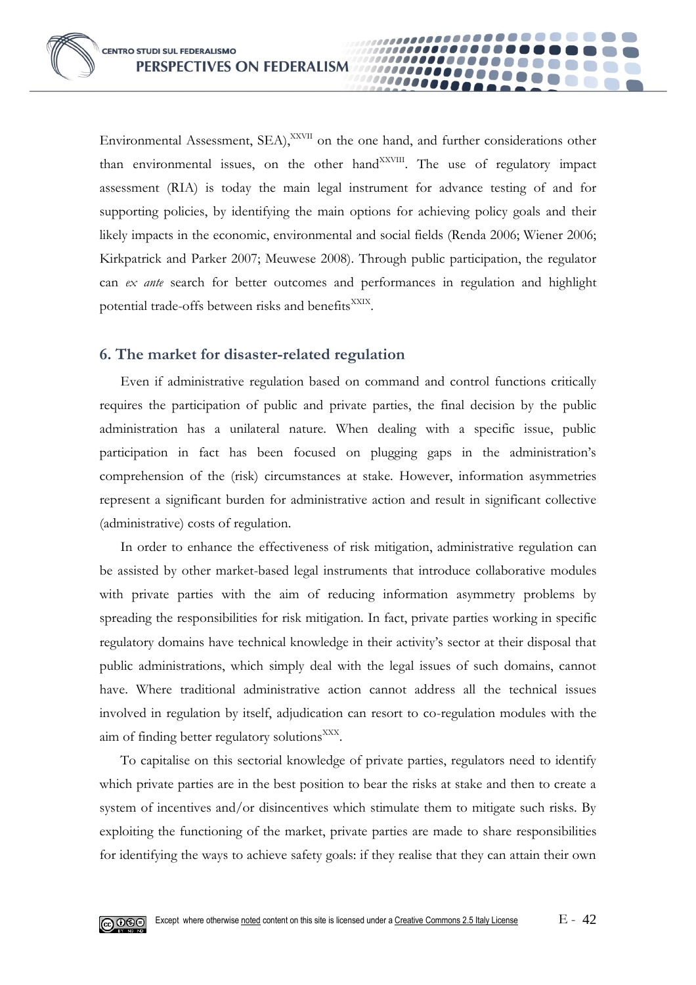Environmental Assessment, SEA),<sup>XXVII</sup> on the one hand, and further considerations other than environmental issues, on the other hand<sup>XXVIII</sup>. The use of regulatory impact assessment (RIA) is today the main legal instrument for advance testing of and for supporting policies, by identifying the main options for achieving policy goals and their likely impacts in the economic, environmental and social fields (Renda 2006; Wiener 2006; Kirkpatrick and Parker 2007; Meuwese 2008). Through public participation, the regulator can *ex ante* search for better outcomes and performances in regulation and highlight potential trade-offs between risks and benefits<sup>XXIX</sup>.

00000

### **6. The market for disaster-related regulation**

Even if administrative regulation based on command and control functions critically requires the participation of public and private parties, the final decision by the public administration has a unilateral nature. When dealing with a specific issue, public participation in fact has been focused on plugging gaps in the administration's comprehension of the (risk) circumstances at stake. However, information asymmetries represent a significant burden for administrative action and result in significant collective (administrative) costs of regulation.

In order to enhance the effectiveness of risk mitigation, administrative regulation can be assisted by other market-based legal instruments that introduce collaborative modules with private parties with the aim of reducing information asymmetry problems by spreading the responsibilities for risk mitigation. In fact, private parties working in specific regulatory domains have technical knowledge in their activity's sector at their disposal that public administrations, which simply deal with the legal issues of such domains, cannot have. Where traditional administrative action cannot address all the technical issues involved in regulation by itself, adjudication can resort to co-regulation modules with the aim of finding better regulatory solutions<sup>XXX</sup>.

To capitalise on this sectorial knowledge of private parties, regulators need to identify which private parties are in the best position to bear the risks at stake and then to create a system of incentives and/or disincentives which stimulate them to mitigate such risks. By exploiting the functioning of the market, private parties are made to share responsibilities for identifying the ways to achieve safety goals: if they realise that they can attain their own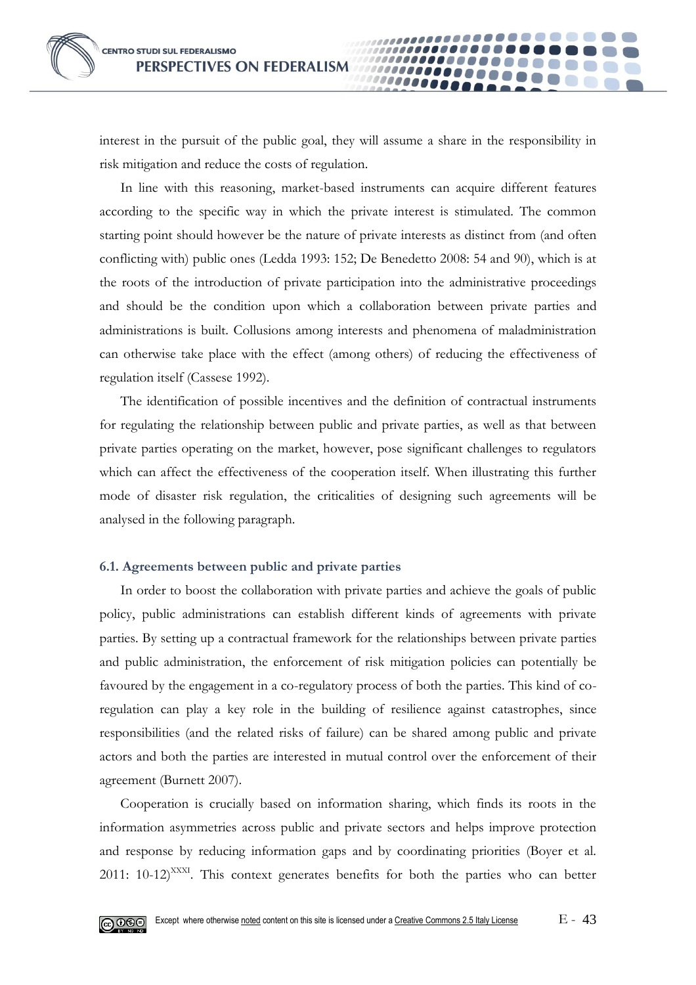interest in the pursuit of the public goal, they will assume a share in the responsibility in risk mitigation and reduce the costs of regulation.

**0000** 

In line with this reasoning, market-based instruments can acquire different features according to the specific way in which the private interest is stimulated. The common starting point should however be the nature of private interests as distinct from (and often conflicting with) public ones (Ledda 1993: 152; De Benedetto 2008: 54 and 90), which is at the roots of the introduction of private participation into the administrative proceedings and should be the condition upon which a collaboration between private parties and administrations is built. Collusions among interests and phenomena of maladministration can otherwise take place with the effect (among others) of reducing the effectiveness of regulation itself (Cassese 1992).

The identification of possible incentives and the definition of contractual instruments for regulating the relationship between public and private parties, as well as that between private parties operating on the market, however, pose significant challenges to regulators which can affect the effectiveness of the cooperation itself. When illustrating this further mode of disaster risk regulation, the criticalities of designing such agreements will be analysed in the following paragraph.

#### **6.1. Agreements between public and private parties**

In order to boost the collaboration with private parties and achieve the goals of public policy, public administrations can establish different kinds of agreements with private parties. By setting up a contractual framework for the relationships between private parties and public administration, the enforcement of risk mitigation policies can potentially be favoured by the engagement in a co-regulatory process of both the parties. This kind of coregulation can play a key role in the building of resilience against catastrophes, since responsibilities (and the related risks of failure) can be shared among public and private actors and both the parties are interested in mutual control over the enforcement of their agreement (Burnett 2007).

Cooperation is crucially based on information sharing, which finds its roots in the information asymmetries across public and private sectors and helps improve protection and response by reducing information gaps and by coordinating priorities (Boyer et al. 2011:  $10-12$ <sup>XXXI</sup>. This context generates benefits for both the parties who can better

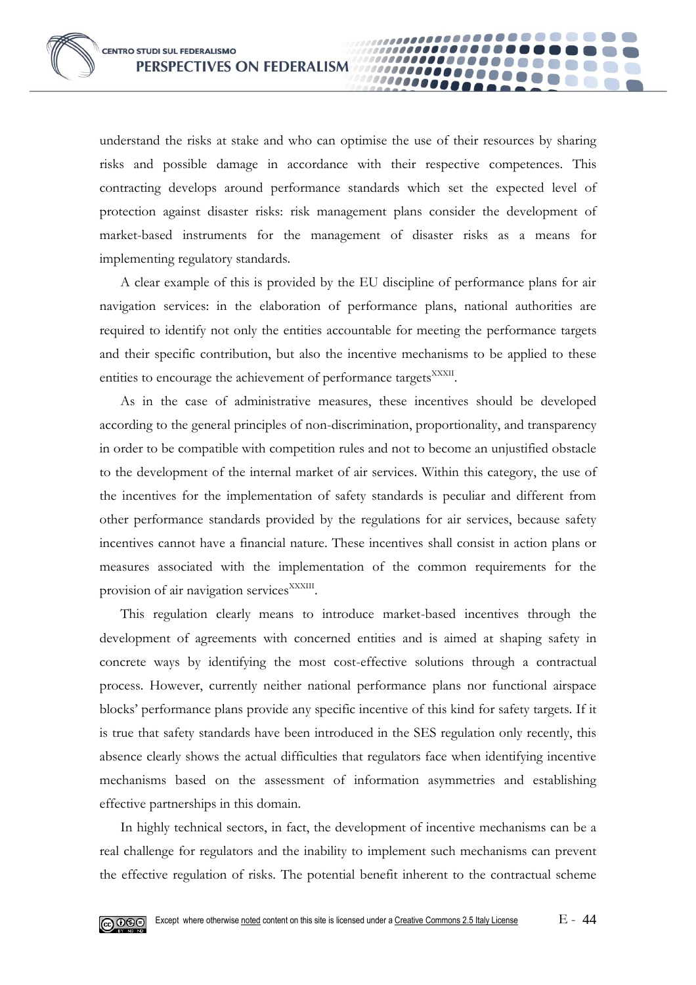understand the risks at stake and who can optimise the use of their resources by sharing risks and possible damage in accordance with their respective competences. This contracting develops around performance standards which set the expected level of protection against disaster risks: risk management plans consider the development of market-based instruments for the management of disaster risks as a means for implementing regulatory standards.

00000

A clear example of this is provided by the EU discipline of performance plans for air navigation services: in the elaboration of performance plans, national authorities are required to identify not only the entities accountable for meeting the performance targets and their specific contribution, but also the incentive mechanisms to be applied to these entities to encourage the achievement of performance targets<sup>XXXII</sup>.

As in the case of administrative measures, these incentives should be developed according to the general principles of non-discrimination, proportionality, and transparency in order to be compatible with competition rules and not to become an unjustified obstacle to the development of the internal market of air services. Within this category, the use of the incentives for the implementation of safety standards is peculiar and different from other performance standards provided by the regulations for air services, because safety incentives cannot have a financial nature. These incentives shall consist in action plans or measures associated with the implementation of the common requirements for the provision of air navigation services<sup>XXXIII</sup>.

This regulation clearly means to introduce market-based incentives through the development of agreements with concerned entities and is aimed at shaping safety in concrete ways by identifying the most cost-effective solutions through a contractual process. However, currently neither national performance plans nor functional airspace blocks' performance plans provide any specific incentive of this kind for safety targets. If it is true that safety standards have been introduced in the SES regulation only recently, this absence clearly shows the actual difficulties that regulators face when identifying incentive mechanisms based on the assessment of information asymmetries and establishing effective partnerships in this domain.

In highly technical sectors, in fact, the development of incentive mechanisms can be a real challenge for regulators and the inability to implement such mechanisms can prevent the effective regulation of risks. The potential benefit inherent to the contractual scheme

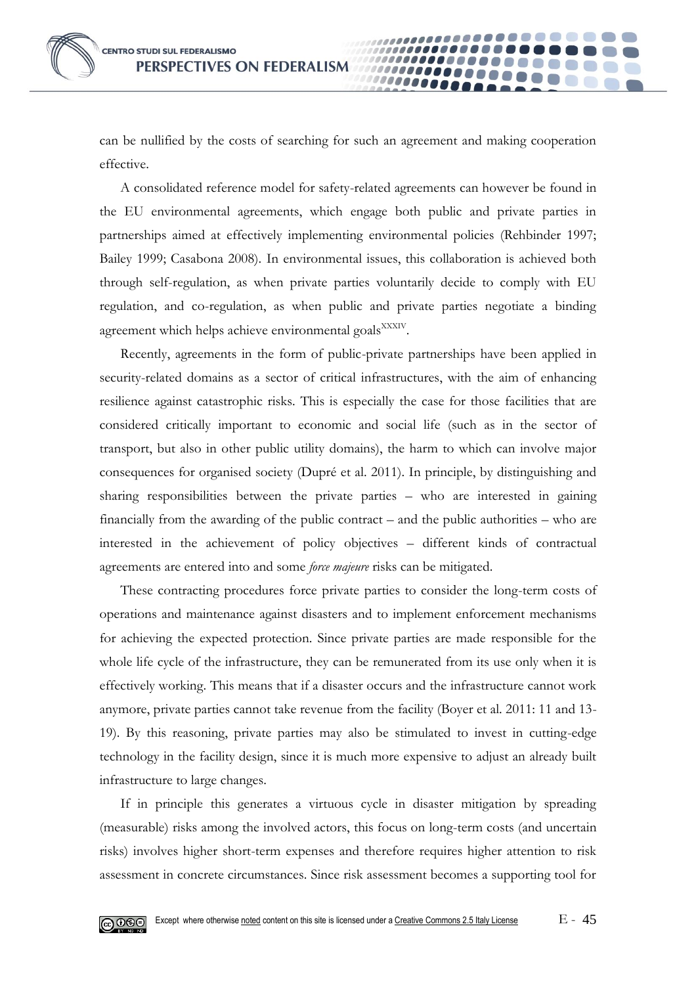can be nullified by the costs of searching for such an agreement and making cooperation effective.

00000

A consolidated reference model for safety-related agreements can however be found in the EU environmental agreements, which engage both public and private parties in partnerships aimed at effectively implementing environmental policies (Rehbinder 1997; Bailey 1999; Casabona 2008). In environmental issues, this collaboration is achieved both through self-regulation, as when private parties voluntarily decide to comply with EU regulation, and co-regulation, as when public and private parties negotiate a binding agreement which helps achieve environmental goals<sup>XXXIV</sup>.

Recently, agreements in the form of public-private partnerships have been applied in security-related domains as a sector of critical infrastructures, with the aim of enhancing resilience against catastrophic risks. This is especially the case for those facilities that are considered critically important to economic and social life (such as in the sector of transport, but also in other public utility domains), the harm to which can involve major consequences for organised society (Dupré et al. 2011). In principle, by distinguishing and sharing responsibilities between the private parties – who are interested in gaining financially from the awarding of the public contract – and the public authorities – who are interested in the achievement of policy objectives – different kinds of contractual agreements are entered into and some *force majeure* risks can be mitigated.

These contracting procedures force private parties to consider the long-term costs of operations and maintenance against disasters and to implement enforcement mechanisms for achieving the expected protection. Since private parties are made responsible for the whole life cycle of the infrastructure, they can be remunerated from its use only when it is effectively working. This means that if a disaster occurs and the infrastructure cannot work anymore, private parties cannot take revenue from the facility (Boyer et al. 2011: 11 and 13- 19). By this reasoning, private parties may also be stimulated to invest in cutting-edge technology in the facility design, since it is much more expensive to adjust an already built infrastructure to large changes.

If in principle this generates a virtuous cycle in disaster mitigation by spreading (measurable) risks among the involved actors, this focus on long-term costs (and uncertain risks) involves higher short-term expenses and therefore requires higher attention to risk assessment in concrete circumstances. Since risk assessment becomes a supporting tool for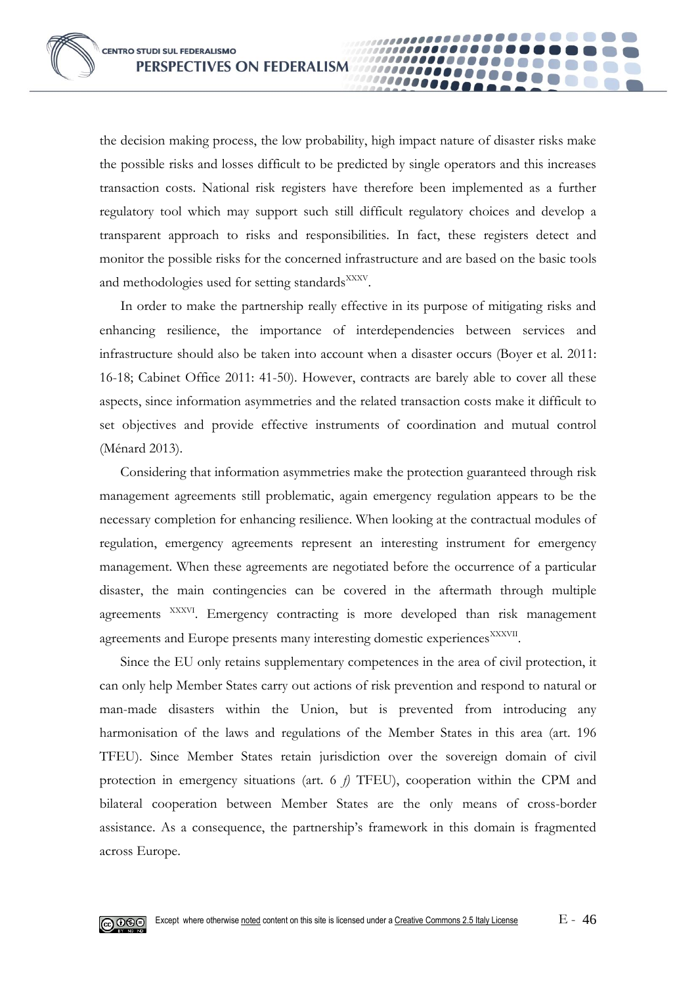the decision making process, the low probability, high impact nature of disaster risks make the possible risks and losses difficult to be predicted by single operators and this increases transaction costs. National risk registers have therefore been implemented as a further regulatory tool which may support such still difficult regulatory choices and develop a transparent approach to risks and responsibilities. In fact, these registers detect and monitor the possible risks for the concerned infrastructure and are based on the basic tools and methodologies used for setting standards<sup>XXXV</sup>.

00000

In order to make the partnership really effective in its purpose of mitigating risks and enhancing resilience, the importance of interdependencies between services and infrastructure should also be taken into account when a disaster occurs (Boyer et al. 2011: 16-18; Cabinet Office 2011: 41-50). However, contracts are barely able to cover all these aspects, since information asymmetries and the related transaction costs make it difficult to set objectives and provide effective instruments of coordination and mutual control (Ménard 2013).

Considering that information asymmetries make the protection guaranteed through risk management agreements still problematic, again emergency regulation appears to be the necessary completion for enhancing resilience. When looking at the contractual modules of regulation, emergency agreements represent an interesting instrument for emergency management. When these agreements are negotiated before the occurrence of a particular disaster, the main contingencies can be covered in the aftermath through multiple agreements XXXVI. Emergency contracting is more developed than risk management agreements and Europe presents many interesting domestic experiences<sup>XXXVII</sup>.

Since the EU only retains supplementary competences in the area of civil protection, it can only help Member States carry out actions of risk prevention and respond to natural or man-made disasters within the Union, but is prevented from introducing any harmonisation of the laws and regulations of the Member States in this area (art. 196 TFEU). Since Member States retain jurisdiction over the sovereign domain of civil protection in emergency situations (art. 6 *f)* TFEU), cooperation within the CPM and bilateral cooperation between Member States are the only means of cross-border assistance. As a consequence, the partnership's framework in this domain is fragmented across Europe.

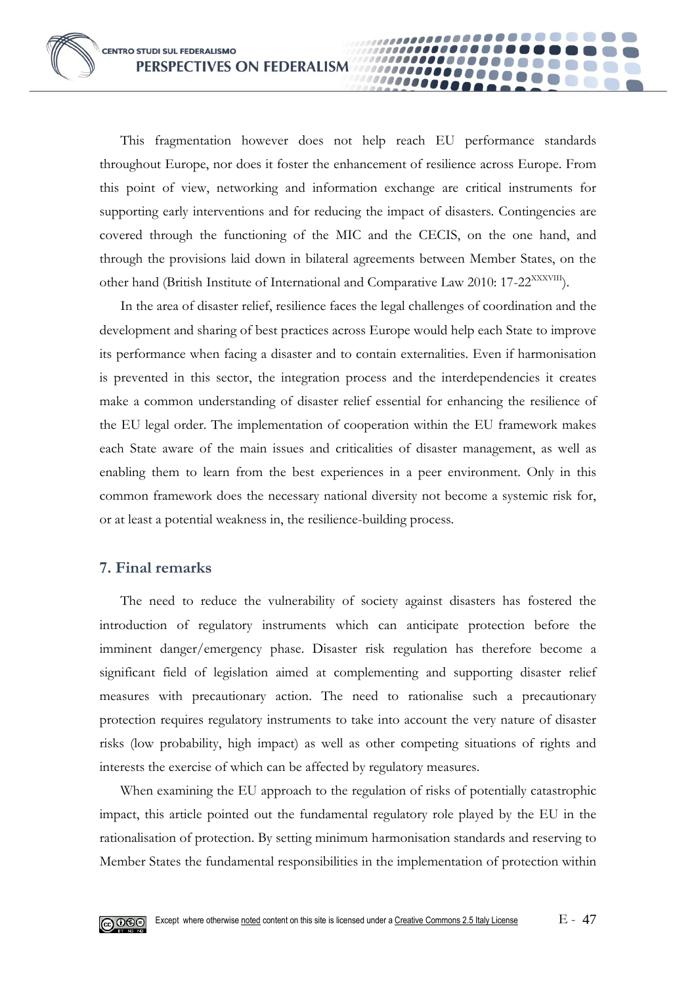This fragmentation however does not help reach EU performance standards throughout Europe, nor does it foster the enhancement of resilience across Europe. From this point of view, networking and information exchange are critical instruments for supporting early interventions and for reducing the impact of disasters. Contingencies are covered through the functioning of the MIC and the CECIS, on the one hand, and through the provisions laid down in bilateral agreements between Member States, on the other hand (British Institute of International and Comparative Law 2010: 17-22<sup>XXXVIII</sup>).

**10000** 

In the area of disaster relief, resilience faces the legal challenges of coordination and the development and sharing of best practices across Europe would help each State to improve its performance when facing a disaster and to contain externalities. Even if harmonisation is prevented in this sector, the integration process and the interdependencies it creates make a common understanding of disaster relief essential for enhancing the resilience of the EU legal order. The implementation of cooperation within the EU framework makes each State aware of the main issues and criticalities of disaster management, as well as enabling them to learn from the best experiences in a peer environment. Only in this common framework does the necessary national diversity not become a systemic risk for, or at least a potential weakness in, the resilience-building process.

## **7. Final remarks**

The need to reduce the vulnerability of society against disasters has fostered the introduction of regulatory instruments which can anticipate protection before the imminent danger/emergency phase. Disaster risk regulation has therefore become a significant field of legislation aimed at complementing and supporting disaster relief measures with precautionary action. The need to rationalise such a precautionary protection requires regulatory instruments to take into account the very nature of disaster risks (low probability, high impact) as well as other competing situations of rights and interests the exercise of which can be affected by regulatory measures.

When examining the EU approach to the regulation of risks of potentially catastrophic impact, this article pointed out the fundamental regulatory role played by the EU in the rationalisation of protection. By setting minimum harmonisation standards and reserving to Member States the fundamental responsibilities in the implementation of protection within

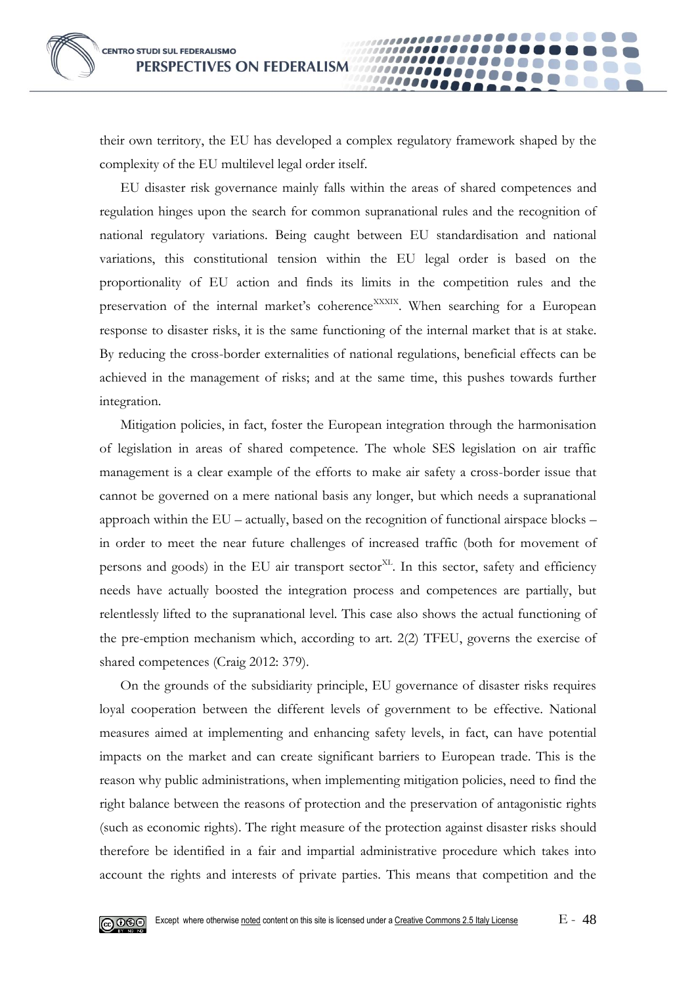

their own territory, the EU has developed a complex regulatory framework shaped by the complexity of the EU multilevel legal order itself.

0000

EU disaster risk governance mainly falls within the areas of shared competences and regulation hinges upon the search for common supranational rules and the recognition of national regulatory variations. Being caught between EU standardisation and national variations, this constitutional tension within the EU legal order is based on the proportionality of EU action and finds its limits in the competition rules and the preservation of the internal market's coherence<sup>XXXIX</sup>. When searching for a European response to disaster risks, it is the same functioning of the internal market that is at stake. By reducing the cross-border externalities of national regulations, beneficial effects can be achieved in the management of risks; and at the same time, this pushes towards further integration.

Mitigation policies, in fact, foster the European integration through the harmonisation of legislation in areas of shared competence. The whole SES legislation on air traffic management is a clear example of the efforts to make air safety a cross-border issue that cannot be governed on a mere national basis any longer, but which needs a supranational approach within the EU – actually, based on the recognition of functional airspace blocks – in order to meet the near future challenges of increased traffic (both for movement of persons and goods) in the EU air transport  $sector^{XL}$ . In this sector, safety and efficiency needs have actually boosted the integration process and competences are partially, but relentlessly lifted to the supranational level. This case also shows the actual functioning of the pre-emption mechanism which, according to art. 2(2) TFEU, governs the exercise of shared competences (Craig 2012: 379).

On the grounds of the subsidiarity principle, EU governance of disaster risks requires loyal cooperation between the different levels of government to be effective. National measures aimed at implementing and enhancing safety levels, in fact, can have potential impacts on the market and can create significant barriers to European trade. This is the reason why public administrations, when implementing mitigation policies, need to find the right balance between the reasons of protection and the preservation of antagonistic rights (such as economic rights). The right measure of the protection against disaster risks should therefore be identified in a fair and impartial administrative procedure which takes into account the rights and interests of private parties. This means that competition and the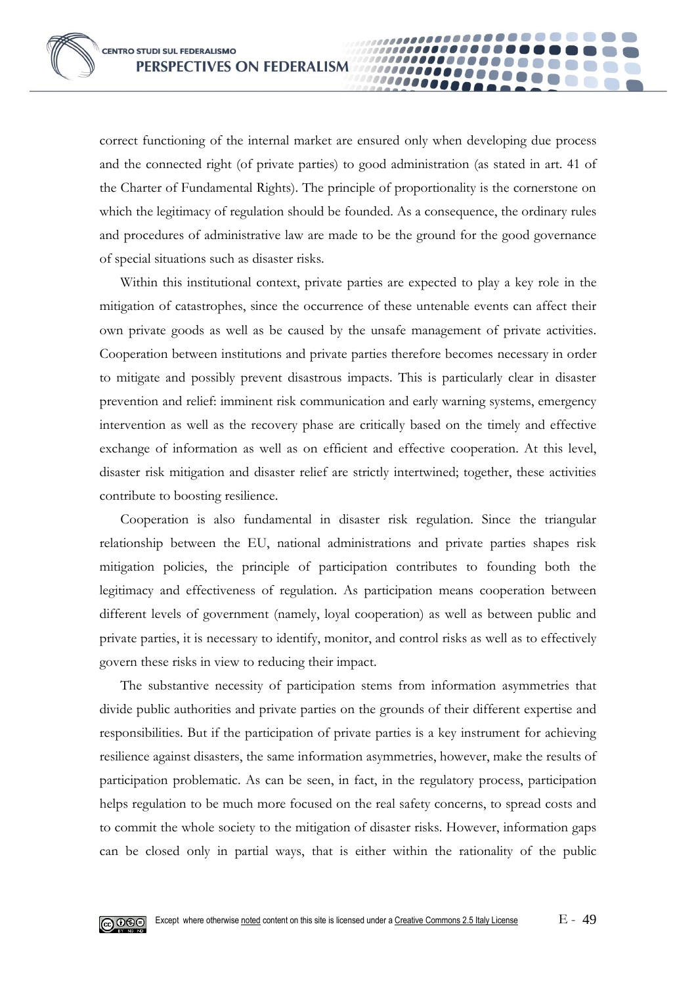correct functioning of the internal market are ensured only when developing due process and the connected right (of private parties) to good administration (as stated in art. 41 of the Charter of Fundamental Rights). The principle of proportionality is the cornerstone on which the legitimacy of regulation should be founded. As a consequence, the ordinary rules and procedures of administrative law are made to be the ground for the good governance of special situations such as disaster risks.

00000

Within this institutional context, private parties are expected to play a key role in the mitigation of catastrophes, since the occurrence of these untenable events can affect their own private goods as well as be caused by the unsafe management of private activities. Cooperation between institutions and private parties therefore becomes necessary in order to mitigate and possibly prevent disastrous impacts. This is particularly clear in disaster prevention and relief: imminent risk communication and early warning systems, emergency intervention as well as the recovery phase are critically based on the timely and effective exchange of information as well as on efficient and effective cooperation. At this level, disaster risk mitigation and disaster relief are strictly intertwined; together, these activities contribute to boosting resilience.

Cooperation is also fundamental in disaster risk regulation. Since the triangular relationship between the EU, national administrations and private parties shapes risk mitigation policies, the principle of participation contributes to founding both the legitimacy and effectiveness of regulation. As participation means cooperation between different levels of government (namely, loyal cooperation) as well as between public and private parties, it is necessary to identify, monitor, and control risks as well as to effectively govern these risks in view to reducing their impact.

The substantive necessity of participation stems from information asymmetries that divide public authorities and private parties on the grounds of their different expertise and responsibilities. But if the participation of private parties is a key instrument for achieving resilience against disasters, the same information asymmetries, however, make the results of participation problematic. As can be seen, in fact, in the regulatory process, participation helps regulation to be much more focused on the real safety concerns, to spread costs and to commit the whole society to the mitigation of disaster risks. However, information gaps can be closed only in partial ways, that is either within the rationality of the public

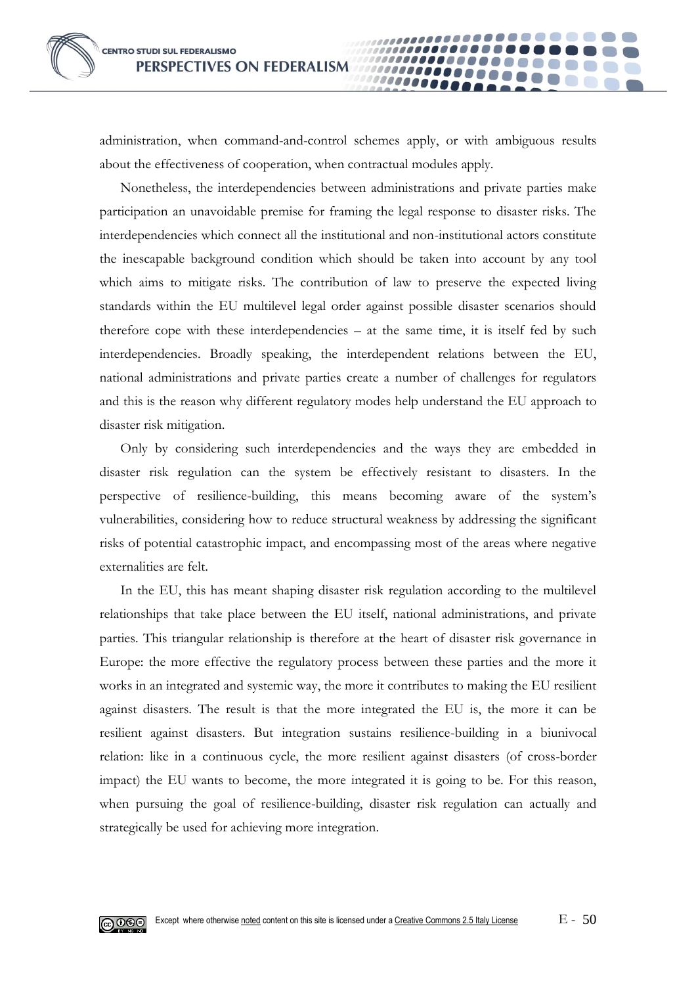administration, when command-and-control schemes apply, or with ambiguous results about the effectiveness of cooperation, when contractual modules apply.

00000

Nonetheless, the interdependencies between administrations and private parties make participation an unavoidable premise for framing the legal response to disaster risks. The interdependencies which connect all the institutional and non-institutional actors constitute the inescapable background condition which should be taken into account by any tool which aims to mitigate risks. The contribution of law to preserve the expected living standards within the EU multilevel legal order against possible disaster scenarios should therefore cope with these interdependencies – at the same time, it is itself fed by such interdependencies. Broadly speaking, the interdependent relations between the EU, national administrations and private parties create a number of challenges for regulators and this is the reason why different regulatory modes help understand the EU approach to disaster risk mitigation.

Only by considering such interdependencies and the ways they are embedded in disaster risk regulation can the system be effectively resistant to disasters. In the perspective of resilience-building, this means becoming aware of the system's vulnerabilities, considering how to reduce structural weakness by addressing the significant risks of potential catastrophic impact, and encompassing most of the areas where negative externalities are felt.

In the EU, this has meant shaping disaster risk regulation according to the multilevel relationships that take place between the EU itself, national administrations, and private parties. This triangular relationship is therefore at the heart of disaster risk governance in Europe: the more effective the regulatory process between these parties and the more it works in an integrated and systemic way, the more it contributes to making the EU resilient against disasters. The result is that the more integrated the EU is, the more it can be resilient against disasters. But integration sustains resilience-building in a biunivocal relation: like in a continuous cycle, the more resilient against disasters (of cross-border impact) the EU wants to become, the more integrated it is going to be. For this reason, when pursuing the goal of resilience-building, disaster risk regulation can actually and strategically be used for achieving more integration.

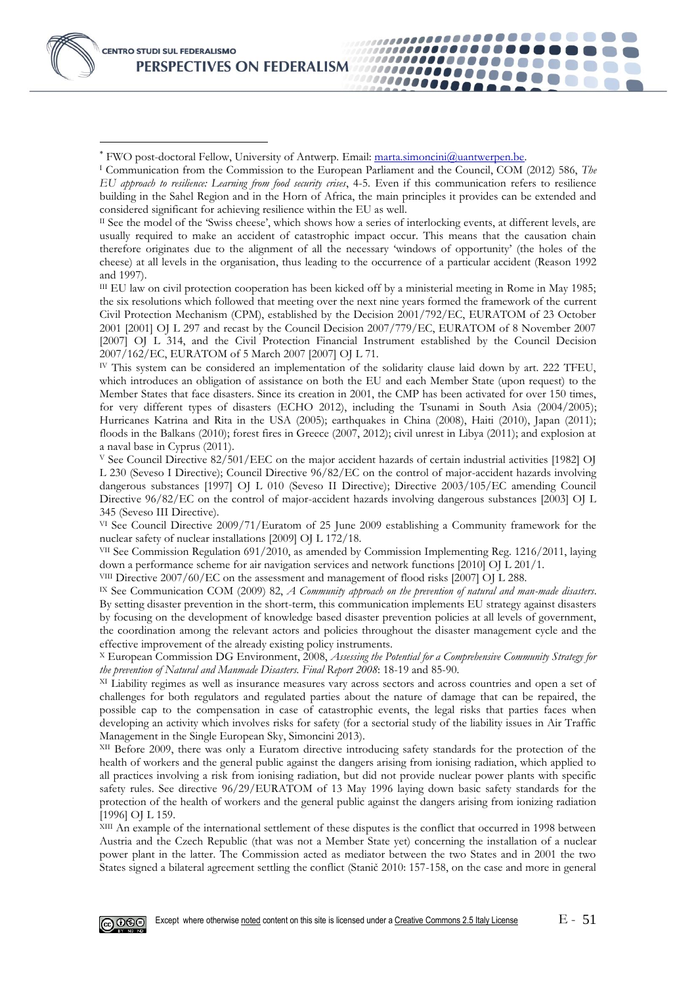-

..................

,,,,,,,,,,,,,,,,,,

1100000000000

*........* 

000000000

 $II$  See the model of the 'Swiss cheese', which shows how a series of interlocking events, at different levels, are usually required to make an accident of catastrophic impact occur. This means that the causation chain therefore originates due to the alignment of all the necessary 'windows of opportunity' (the holes of the cheese) at all levels in the organisation, thus leading to the occurrence of a particular accident (Reason 1992 and 1997).

III EU law on civil protection cooperation has been kicked off by a ministerial meeting in Rome in May 1985; the six resolutions which followed that meeting over the next nine years formed the framework of the current Civil Protection Mechanism (CPM), established by the Decision 2001/792/EC, EURATOM of 23 October 2001 [2001] OJ L 297 and recast by the Council Decision 2007/779/EC, EURATOM of 8 November 2007 [2007] OJ L 314, and the Civil Protection Financial Instrument established by the Council Decision 2007/162/EC, EURATOM of 5 March 2007 [2007] OJ L 71.

IV This system can be considered an implementation of the solidarity clause laid down by art. 222 TFEU, which introduces an obligation of assistance on both the EU and each Member State (upon request) to the Member States that face disasters. Since its creation in 2001, the CMP has been activated for over 150 times, for very different types of disasters (ECHO 2012), including the Tsunami in South Asia (2004/2005); Hurricanes Katrina and Rita in the USA (2005); earthquakes in China (2008), Haiti (2010), Japan (2011); floods in the Balkans (2010); forest fires in Greece (2007, 2012); civil unrest in Libya (2011); and explosion at a naval base in Cyprus (2011).

<sup>V</sup> See Council Directive 82/501/EEC on the major accident hazards of certain industrial activities [1982] OJ L 230 (Seveso I Directive); Council Directive 96/82/EC on the control of major-accident hazards involving dangerous substances [1997] OJ L 010 (Seveso II Directive); Directive 2003/105/EC amending Council Directive 96/82/EC on the control of major-accident hazards involving dangerous substances [2003] OJ L 345 (Seveso III Directive).

VI See Council Directive 2009/71/Euratom of 25 June 2009 establishing a Community framework for the nuclear safety of nuclear installations [2009] OJ L 172/18.

VII See Commission Regulation 691/2010, as amended by Commission Implementing Reg. 1216/2011, laying down a performance scheme for air navigation services and network functions [2010] OJ L 201/1.

VIII Directive 2007/60/EC on the assessment and management of flood risks [2007] OJ L 288.

IX See Communication COM (2009) 82, *A Community approach on the prevention of natural and man-made disasters*. By setting disaster prevention in the short-term, this communication implements EU strategy against disasters by focusing on the development of knowledge based disaster prevention policies at all levels of government, the coordination among the relevant actors and policies throughout the disaster management cycle and the effective improvement of the already existing policy instruments.

<sup>X</sup> European Commission DG Environment, 2008, *Assessing the Potential for a Comprehensive Community Strategy for the prevention of Natural and Manmade Disasters. Final Report 2008*: 18-19 and 85-90.

XI Liability regimes as well as insurance measures vary across sectors and across countries and open a set of challenges for both regulators and regulated parties about the nature of damage that can be repaired, the possible cap to the compensation in case of catastrophic events, the legal risks that parties faces when developing an activity which involves risks for safety (for a sectorial study of the liability issues in Air Traffic Management in the Single European Sky, Simoncini 2013).

<sup>XII</sup> Before 2009, there was only a Euratom directive introducing safety standards for the protection of the health of workers and the general public against the dangers arising from ionising radiation, which applied to all practices involving a risk from ionising radiation, but did not provide nuclear power plants with specific safety rules. See directive 96/29/EURATOM of 13 May 1996 laying down basic safety standards for the protection of the health of workers and the general public against the dangers arising from ionizing radiation [1996] OJ L 159.

XIII An example of the international settlement of these disputes is the conflict that occurred in 1998 between Austria and the Czech Republic (that was not a Member State yet) concerning the installation of a nuclear power plant in the latter. The Commission acted as mediator between the two States and in 2001 the two States signed a bilateral agreement settling the conflict (Stanič 2010: 157-158, on the case and more in general



<sup>\*</sup> FWO post-doctoral Fellow, University of Antwerp. Email: [marta.simoncini@uantwerpen.be.](mailto:marta.simoncini@uantwerpen.be)

<sup>I</sup> Communication from the Commission to the European Parliament and the Council, COM (2012) 586, *The EU approach to resilience: Learning from food security crises*, 4-5. Even if this communication refers to resilience building in the Sahel Region and in the Horn of Africa, the main principles it provides can be extended and considered significant for achieving resilience within the EU as well.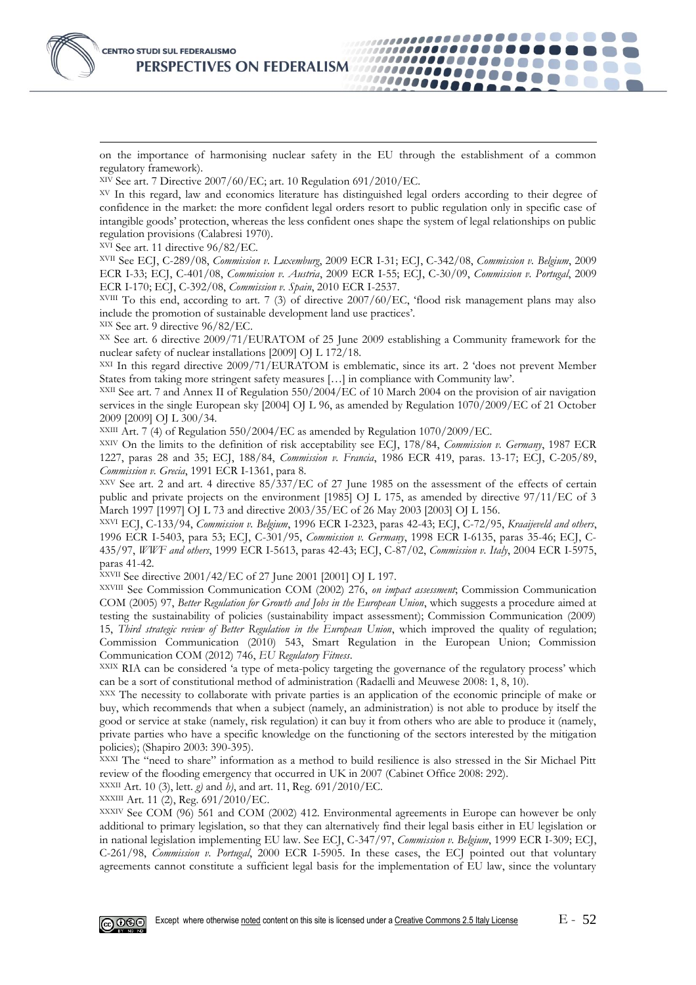

on the importance of harmonising nuclear safety in the EU through the establishment of a common regulatory framework).

,,,,,,,,,,,,,,,,,,,,,,

...............

1000000000

,,,,,,,,,,,,,,,,

,,,,,,,,,,,,,,,,,,,,

XIV See art. 7 Directive 2007/60/EC; art. 10 Regulation 691/2010/EC.

XV In this regard, law and economics literature has distinguished legal orders according to their degree of confidence in the market: the more confident legal orders resort to public regulation only in specific case of intangible goods' protection, whereas the less confident ones shape the system of legal relationships on public regulation provisions (Calabresi 1970).

XVI See art. 11 directive 96/82/EC.

XVII See ECJ, C-289/08, *Commission v. Luxemburg*, 2009 ECR I-31; ECJ, C-342/08, *Commission v. Belgium*, 2009 ECR I-33; ECJ, C-401/08, *Commission v. Austria*, 2009 ECR I-55; ECJ, C-30/09, *Commission v. Portugal*, 2009 ECR I-170; ECJ, C-392/08, *Commission v. Spain*, 2010 ECR I-2537.

XVIII To this end, according to art. 7 (3) of directive 2007/60/EC, 'flood risk management plans may also include the promotion of sustainable development land use practices'.

XIX See art. 9 directive 96/82/EC.

XX See art. 6 directive 2009/71/EURATOM of 25 June 2009 establishing a Community framework for the nuclear safety of nuclear installations [2009] OJ L 172/18.

XXI In this regard directive 2009/71/EURATOM is emblematic, since its art. 2 'does not prevent Member States from taking more stringent safety measures […] in compliance with Community law'.

XXII See art. 7 and Annex II of Regulation 550/2004/EC of 10 March 2004 on the provision of air navigation services in the single European sky [2004] OJ L 96, as amended by Regulation 1070/2009/EC of 21 October 2009 [2009] OJ L 300/34.

XXIII Art. 7 (4) of Regulation 550/2004/EC as amended by Regulation 1070/2009/EC.

XXIV On the limits to the definition of risk acceptability see ECJ, 178/84, *Commission v. Germany*, 1987 ECR 1227, paras 28 and 35; ECJ, 188/84, *Commission v. Francia*, 1986 ECR 419, paras. 13-17; ECJ, C-205/89, *Commission v. Grecia*, 1991 ECR I-1361, para 8.

XXV See art. 2 and art. 4 directive 85/337/EC of 27 June 1985 on the assessment of the effects of certain public and private projects on the environment [1985] OJ L 175, as amended by directive 97/11/EC of 3 March 1997 [1997] OJ L 73 and directive 2003/35/EC of 26 May 2003 [2003] OJ L 156.

XXVI ECJ, C-133/94, *Commission v. Belgium*, 1996 ECR I-2323, paras 42-43; ECJ, C-72/95, *Kraaijeveld and others*, 1996 ECR I-5403, para 53; ECJ, C-301/95, *Commission v. Germany*, 1998 ECR I-6135, paras 35-46; ECJ, C-435/97, *WWF and others*, 1999 ECR I-5613, paras 42-43; ECJ, C-87/02, *Commission v. Italy*, 2004 ECR I-5975, paras 41-42.

XXVII See directive 2001/42/EC of 27 June 2001 [2001] OJ L 197.

XXVIII See Commission Communication COM (2002) 276, *on impact assessment*; Commission Communication COM (2005) 97, *Better Regulation for Growth and Jobs in the European Union*, which suggests a procedure aimed at testing the sustainability of policies (sustainability impact assessment); Commission Communication (2009) 15, *Third strategic review of Better Regulation in the European Union*, which improved the quality of regulation; Commission Communication (2010) 543, Smart Regulation in the European Union; Commission Communication COM (2012) 746, *EU Regulatory Fitness*.

XXIX RIA can be considered 'a type of meta-policy targeting the governance of the regulatory process' which can be a sort of constitutional method of administration (Radaelli and Meuwese 2008: 1, 8, 10).

XXX The necessity to collaborate with private parties is an application of the economic principle of make or buy, which recommends that when a subject (namely, an administration) is not able to produce by itself the good or service at stake (namely, risk regulation) it can buy it from others who are able to produce it (namely, private parties who have a specific knowledge on the functioning of the sectors interested by the mitigation policies); (Shapiro 2003: 390-395).

XXXI The "need to share" information as a method to build resilience is also stressed in the Sir Michael Pitt review of the flooding emergency that occurred in UK in 2007 (Cabinet Office 2008: 292).

XXXII Art. 10 (3), lett. *g)* and *h)*, and art. 11, Reg. 691/2010/EC.

XXXIII Art. 11 (2), Reg. 691/2010/EC.

XXXIV See COM (96) 561 and COM (2002) 412. Environmental agreements in Europe can however be only additional to primary legislation, so that they can alternatively find their legal basis either in EU legislation or in national legislation implementing EU law. See ECJ, C-347/97, *Commission v. Belgium*, 1999 ECR I-309; ECJ, C-261/98, *Commission v. Portugal*, 2000 ECR I-5905. In these cases, the ECJ pointed out that voluntary agreements cannot constitute a sufficient legal basis for the implementation of EU law, since the voluntary

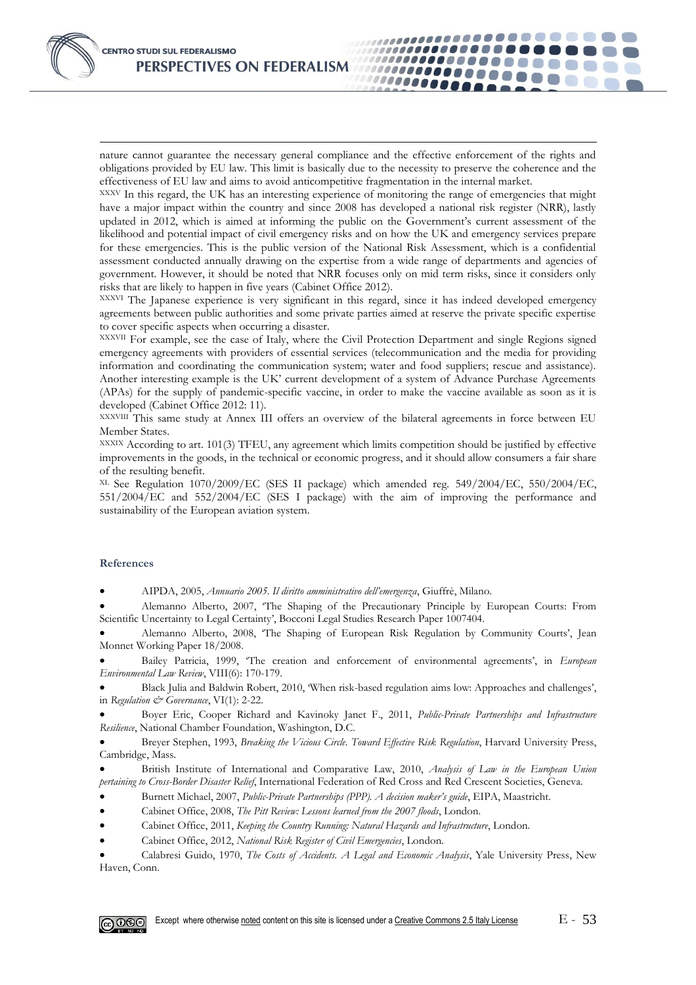nature cannot guarantee the necessary general compliance and the effective enforcement of the rights and obligations provided by EU law. This limit is basically due to the necessity to preserve the coherence and the effectiveness of EU law and aims to avoid anticompetitive fragmentation in the internal market.

,,,,,,,,,,,,,,,,,,,,,,,,

,,,,,,,,,,,,,,,,,

...............

1000000000

,,,,,,,,,,,,,,,,,,,,

XXXV In this regard, the UK has an interesting experience of monitoring the range of emergencies that might have a major impact within the country and since 2008 has developed a national risk register (NRR), lastly updated in 2012, which is aimed at informing the public on the Government's current assessment of the likelihood and potential impact of civil emergency risks and on how the UK and emergency services prepare for these emergencies. This is the public version of the National Risk Assessment, which is a confidential assessment conducted annually drawing on the expertise from a wide range of departments and agencies of government. However, it should be noted that NRR focuses only on mid term risks, since it considers only risks that are likely to happen in five years (Cabinet Office 2012).

XXXVI The Japanese experience is very significant in this regard, since it has indeed developed emergency agreements between public authorities and some private parties aimed at reserve the private specific expertise to cover specific aspects when occurring a disaster.

XXXVII For example, see the case of Italy, where the Civil Protection Department and single Regions signed emergency agreements with providers of essential services (telecommunication and the media for providing information and coordinating the communication system; water and food suppliers; rescue and assistance). Another interesting example is the UK' current development of a system of Advance Purchase Agreements (APAs) for the supply of pandemic-specific vaccine, in order to make the vaccine available as soon as it is developed (Cabinet Office 2012: 11).

XXXVIII This same study at Annex III offers an overview of the bilateral agreements in force between EU Member States.

XXXIX According to art. 101(3) TFEU, any agreement which limits competition should be justified by effective improvements in the goods, in the technical or economic progress, and it should allow consumers a fair share of the resulting benefit.

XL See Regulation 1070/2009/EC (SES II package) which amended reg. [549/2004/](http://www.bastianini.info/trasport/0549.htm)EC, [550/2004/](http://www.bastianini.info/trasport/0550.htm)EC, [551/2004/](http://www.bastianini.info/trasport/0551.htm)EC and [552/2004/](http://www.bastianini.info/trasport/0552.htm)EC (SES I package) with the aim of improving the performance and sustainability of the European aviation system.

#### **References**

-

AIPDA, 2005, *Annuario 2005. Il diritto amministrativo dell'emergenza*, Giuffrè, Milano.

 Alemanno Alberto, 2007, 'The Shaping of the Precautionary Principle by European Courts: From Scientific Uncertainty to Legal Certainty', Bocconi Legal Studies Research Paper 1007404.

 Alemanno Alberto, 2008, 'The Shaping of European Risk Regulation by Community Courts', Jean Monnet Working Paper 18/2008.

 Bailey Patricia, 1999, 'The creation and enforcement of environmental agreements', in *European Environmental Law Review*, VIII(6): 170-179.

 Black Julia and Baldwin Robert, 2010, 'When risk-based regulation aims low: Approaches and challenges', in *Regulation & Governance*, VI(1): 2-22.

 Boyer Eric, Cooper Richard and Kavinoky Janet F., 2011, *Public-Private Partnerships and Infrastructure Resilience*, National Chamber Foundation, Washington, D.C.

 Breyer Stephen, 1993, *Breaking the Vicious Circle. Toward Effective Risk Regulation*, Harvard University Press, Cambridge, Mass.

 British Institute of International and Comparative Law, 2010, *Analysis of Law in the European Union pertaining to Cross-Border Disaster Relief*, International Federation of Red Cross and Red Crescent Societies, Geneva.

Burnett Michael, 2007, *Public-Private Partnerships (PPP). A decision maker's guide*, EIPA, Maastricht.

Cabinet Office, 2008, *The Pitt Review: Lessons learned from the 2007 floods*, London.

- Cabinet Office, 2011, *Keeping the Country Running: Natural Hazards and Infrastructure*, London.
- Cabinet Office, 2012, *National Risk Register of Civil Emergencies*, London.

 Calabresi Guido, 1970, *The Costs of Accidents. A Legal and Economic Analysis*, Yale University Press, New Haven, Conn.

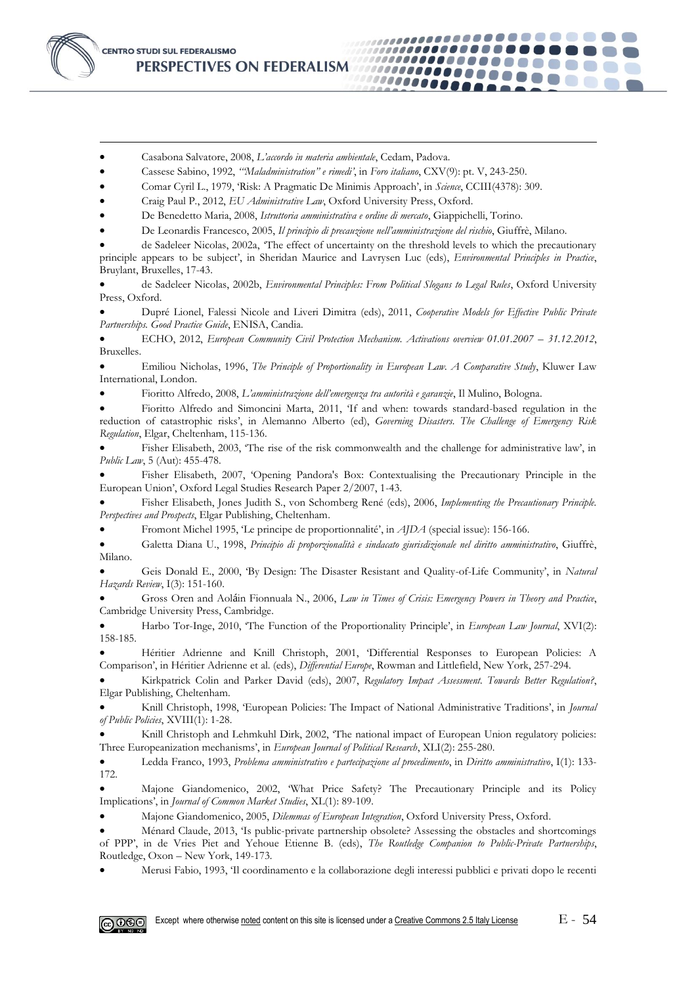

-

- Casabona Salvatore, 2008, *L'accordo in materia ambientale*, Cedam, Padova.
- Cassese Sabino, 1992, *'"Maladministration" e rimedi'*, in *Foro italiano*, CXV(9): pt. V, 243-250.
- Comar Cyril L., 1979, 'Risk: A Pragmatic De Minimis Approach', in *Science*, CCIII(4378): 309.
- Craig Paul P., 2012, *EU Administrative Law*, Oxford University Press, Oxford.
- De Benedetto Maria, 2008, *Istruttoria amministrativa e ordine di mercato*, Giappichelli, Torino.
- De Leonardis Francesco, 2005, *Il principio di precauzione nell'amministrazione del rischio*, Giuffrè, Milano.
- de Sadeleer Nicolas, 2002a, 'The effect of uncertainty on the threshold levels to which the precautionary principle appears to be subject', in Sheridan Maurice and Lavrysen Luc (eds), *Environmental Principles in Practice*, Bruylant, Bruxelles, 17-43.

.....................

................

1000000000

................

,,,,,,,,,,,,,,,,,,,,,,,

 de Sadeleer Nicolas, 2002b, *Environmental Principles: From Political Slogans to Legal Rules*, Oxford University Press, Oxford.

 Dupré Lionel, Falessi Nicole and Liveri Dimitra (eds), 2011, *Cooperative Models for Effective Public Private Partnerships. Good Practice Guide*, ENISA, Candia.

ECHO, 2012, *European Community Civil Protection Mechanism. Activations overview 01.01.2007 - 31.12.2012*, Bruxelles.

 Emiliou Nicholas, 1996, *The Principle of Proportionality in European Law. A Comparative Study*, Kluwer Law International, London.

Fioritto Alfredo, 2008, *L'amministrazione dell'emergenza tra autorità e garanzie*, Il Mulino, Bologna.

 Fioritto Alfredo and Simoncini Marta, 2011, 'If and when: towards standard-based regulation in the reduction of catastrophic risks', in Alemanno Alberto (ed), *Governing Disasters. The Challenge of Emergency Risk Regulation*, Elgar, Cheltenham, 115-136.

 Fisher Elisabeth, 2003, 'The rise of the risk commonwealth and the challenge for administrative law', in *Public Law*, 5 (Aut): 455-478.

 Fisher Elisabeth, 2007, 'Opening Pandora's Box: Contextualising the Precautionary Principle in the European Union', Oxford Legal Studies Research Paper 2/2007, 1-43.

 Fisher Elisabeth, Jones Judith S., von Schomberg René (eds), 2006, *Implementing the Precautionary Principle. Perspectives and Prospects*, Elgar Publishing, Cheltenham.

Fromont Michel 1995, 'Le principe de proportionnalité', in *AJDA* (special issue): 156-166.

 Galetta Diana U., 1998, *Principio di proporzionalità e sindacato giurisdizionale nel diritto amministrativo*, Giuffrè, Milano.

 Geis Donald E., 2000, 'By Design: The Disaster Resistant and Quality-of-Life Community', in *Natural Hazards Review*, I(3): 151-160.

 Gross Oren and Aoláin Fionnuala N., 2006, *Law in Times of Crisis: Emergency Powers in Theory and Practice*, Cambridge University Press, Cambridge.

 Harbo Tor-Inge, 2010, 'The Function of the Proportionality Principle', in *European Law Journal*, XVI(2): 158-185.

 Héritier Adrienne and Knill Christoph, 2001, 'Differential Responses to European Policies: A Comparison', in Héritier Adrienne et al. (eds), *Differential Europe*, Rowman and Littlefield, New York, 257-294.

 Kirkpatrick Colin and Parker David (eds), 2007, *Regulatory Impact Assessment. Towards Better Regulation?*, Elgar Publishing, Cheltenham.

 Knill Christoph, 1998, 'European Policies: The Impact of National Administrative Traditions', in *Journal of Public Policies*, XVIII(1): 1-28.

Knill Christoph and Lehmkuhl Dirk, 2002, 'The national impact of European Union regulatory policies: Three Europeanization mechanisms', in *European Journal of Political Research*, XLI(2): 255-280.

 Ledda Franco, 1993, *Problema amministrativo e partecipazione al procedimento*, in *Diritto amministrativo*, I(1): 133- 172.

 Majone Giandomenico, 2002, 'What Price Safety? The Precautionary Principle and its Policy Implications', in *Journal of Common Market Studies*, XL(1): 89-109.

Majone Giandomenico, 2005, *Dilemmas of European Integration*, Oxford University Press, Oxford.

 Ménard Claude, 2013, 'Is public-private partnership obsolete? Assessing the obstacles and shortcomings of PPP', in de Vries Piet and Yehoue Etienne B. (eds), *The Routledge Companion to Public-Private Partnerships*, Routledge, Oxon – New York, 149-173.

Merusi Fabio, 1993, 'Il coordinamento e la collaborazione degli interessi pubblici e privati dopo le recenti